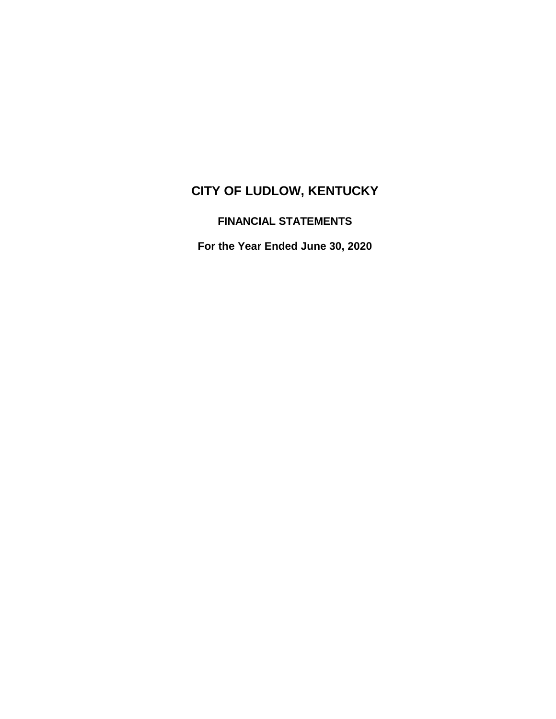# **CITY OF LUDLOW, KENTUCKY**

# **FINANCIAL STATEMENTS**

**For the Year Ended June 30, 2020**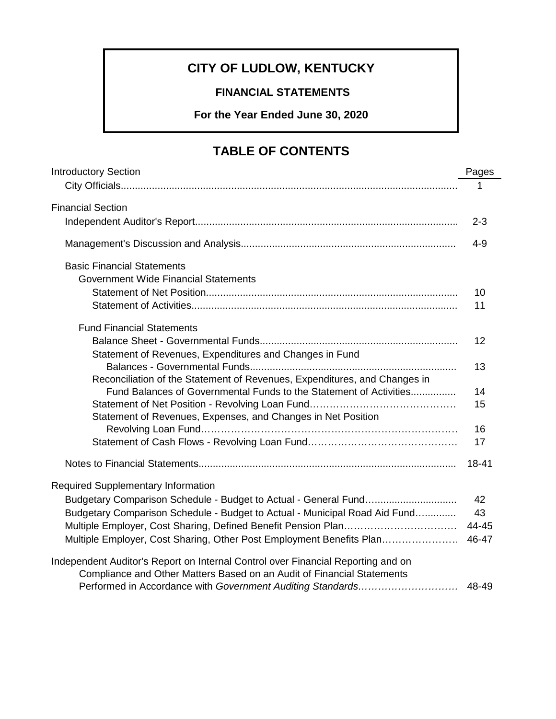# **CITY OF LUDLOW, KENTUCKY**

# **FINANCIAL STATEMENTS**

**For the Year Ended June 30, 2020**

# **TABLE OF CONTENTS**

| <b>Introductory Section</b>                                                      | Pages   |  |
|----------------------------------------------------------------------------------|---------|--|
|                                                                                  |         |  |
| <b>Financial Section</b>                                                         |         |  |
|                                                                                  | $2 - 3$ |  |
|                                                                                  | $4 - 9$ |  |
| <b>Basic Financial Statements</b>                                                |         |  |
| <b>Government Wide Financial Statements</b>                                      |         |  |
|                                                                                  | 10      |  |
|                                                                                  | 11      |  |
| <b>Fund Financial Statements</b>                                                 |         |  |
|                                                                                  | 12      |  |
| Statement of Revenues, Expenditures and Changes in Fund                          |         |  |
|                                                                                  | 13      |  |
| Reconciliation of the Statement of Revenues, Expenditures, and Changes in        |         |  |
| Fund Balances of Governmental Funds to the Statement of Activities               | 14      |  |
|                                                                                  | 15      |  |
| Statement of Revenues, Expenses, and Changes in Net Position                     |         |  |
|                                                                                  | 16      |  |
|                                                                                  | 17      |  |
|                                                                                  |         |  |
| Required Supplementary Information                                               |         |  |
|                                                                                  | 42      |  |
| Budgetary Comparison Schedule - Budget to Actual - Municipal Road Aid Fund       | 43      |  |
|                                                                                  |         |  |
| Multiple Employer, Cost Sharing, Other Post Employment Benefits Plan 46-47       |         |  |
| Independent Auditor's Report on Internal Control over Financial Reporting and on |         |  |
| Compliance and Other Matters Based on an Audit of Financial Statements           |         |  |
|                                                                                  |         |  |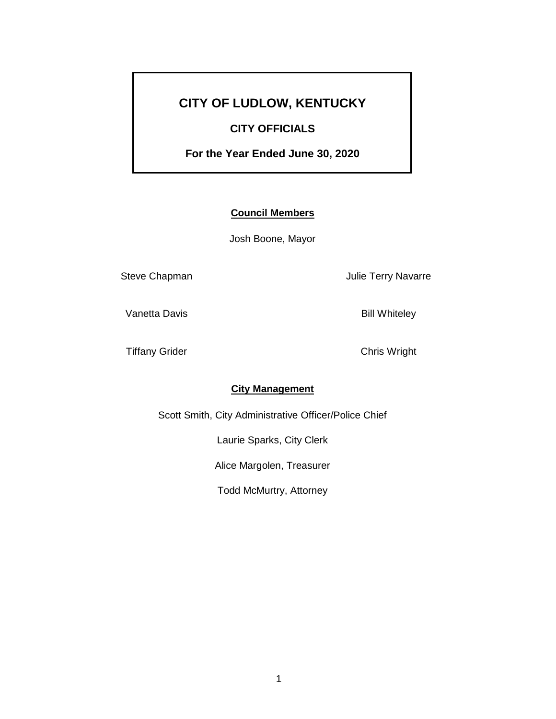# **CITY OF LUDLOW, KENTUCKY**

# **CITY OFFICIALS**

**For the Year Ended June 30, 2020**

# **Council Members**

Josh Boone, Mayor

Vanetta Davis **Bill Whiteley** 

Tiffany Grider Chris Wright

Steve Chapman **Julie Terry Navarre** 

# **City Management**

Scott Smith, City Administrative Officer/Police Chief

Laurie Sparks, City Clerk

Alice Margolen, Treasurer

Todd McMurtry, Attorney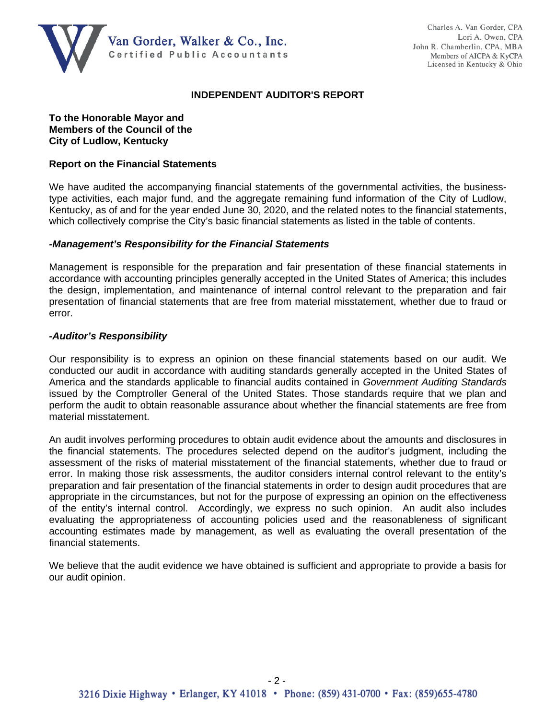

#### **INDEPENDENT AUDITOR'S REPORT**

**To the Honorable Mayor and Members of the Council of the City of Ludlow, Kentucky** 

#### **Report on the Financial Statements**

We have audited the accompanying financial statements of the governmental activities, the businesstype activities, each major fund, and the aggregate remaining fund information of the City of Ludlow, Kentucky, as of and for the year ended June 30, 2020, and the related notes to the financial statements, which collectively comprise the City's basic financial statements as listed in the table of contents.

#### *-Management's Responsibility for the Financial Statements*

Management is responsible for the preparation and fair presentation of these financial statements in accordance with accounting principles generally accepted in the United States of America; this includes the design, implementation, and maintenance of internal control relevant to the preparation and fair presentation of financial statements that are free from material misstatement, whether due to fraud or error.

#### *-Auditor's Responsibility*

Our responsibility is to express an opinion on these financial statements based on our audit. We conducted our audit in accordance with auditing standards generally accepted in the United States of America and the standards applicable to financial audits contained in *Government Auditing Standards* issued by the Comptroller General of the United States. Those standards require that we plan and perform the audit to obtain reasonable assurance about whether the financial statements are free from material misstatement.

An audit involves performing procedures to obtain audit evidence about the amounts and disclosures in the financial statements. The procedures selected depend on the auditor's judgment, including the assessment of the risks of material misstatement of the financial statements, whether due to fraud or error. In making those risk assessments, the auditor considers internal control relevant to the entity's preparation and fair presentation of the financial statements in order to design audit procedures that are appropriate in the circumstances, but not for the purpose of expressing an opinion on the effectiveness of the entity's internal control. Accordingly, we express no such opinion. An audit also includes evaluating the appropriateness of accounting policies used and the reasonableness of significant accounting estimates made by management, as well as evaluating the overall presentation of the financial statements.

We believe that the audit evidence we have obtained is sufficient and appropriate to provide a basis for our audit opinion.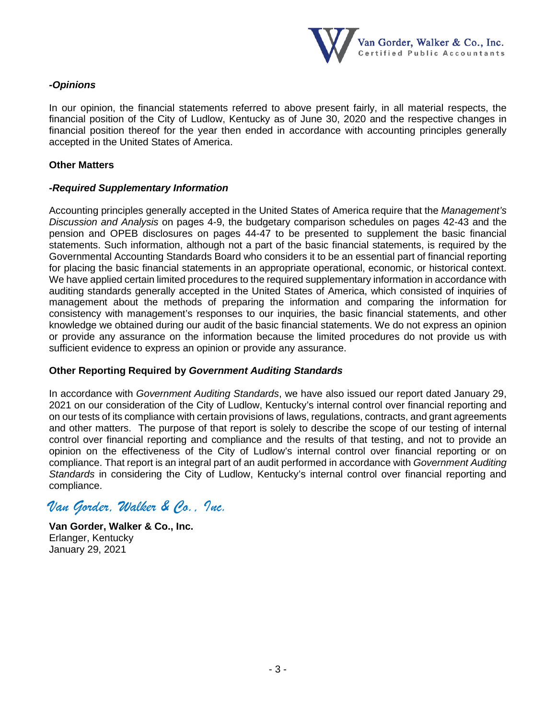

# *-Opinions*

In our opinion, the financial statements referred to above present fairly, in all material respects, the financial position of the City of Ludlow, Kentucky as of June 30, 2020 and the respective changes in financial position thereof for the year then ended in accordance with accounting principles generally accepted in the United States of America.

# **Other Matters**

# *-Required Supplementary Information*

Accounting principles generally accepted in the United States of America require that the *Management's Discussion and Analysis* on pages 4-9, the budgetary comparison schedules on pages 42-43 and the pension and OPEB disclosures on pages 44-47 to be presented to supplement the basic financial statements. Such information, although not a part of the basic financial statements, is required by the Governmental Accounting Standards Board who considers it to be an essential part of financial reporting for placing the basic financial statements in an appropriate operational, economic, or historical context. We have applied certain limited procedures to the required supplementary information in accordance with auditing standards generally accepted in the United States of America, which consisted of inquiries of management about the methods of preparing the information and comparing the information for consistency with management's responses to our inquiries, the basic financial statements, and other knowledge we obtained during our audit of the basic financial statements. We do not express an opinion or provide any assurance on the information because the limited procedures do not provide us with sufficient evidence to express an opinion or provide any assurance.

# **Other Reporting Required by** *Government Auditing Standards*

In accordance with *Government Auditing Standards*, we have also issued our report dated January 29, 2021 on our consideration of the City of Ludlow, Kentucky's internal control over financial reporting and on our tests of its compliance with certain provisions of laws, regulations, contracts, and grant agreements and other matters. The purpose of that report is solely to describe the scope of our testing of internal control over financial reporting and compliance and the results of that testing, and not to provide an opinion on the effectiveness of the City of Ludlow's internal control over financial reporting or on compliance. That report is an integral part of an audit performed in accordance with *Government Auditing Standards* in considering the City of Ludlow, Kentucky's internal control over financial reporting and compliance.

# *Van Gorder, Walker & Co., Inc.*

**Van Gorder, Walker & Co., Inc.** Erlanger, Kentucky January 29, 2021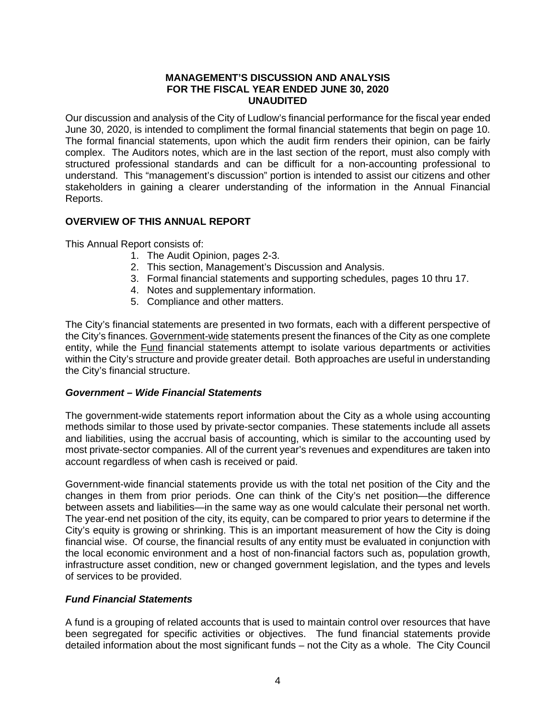#### **MANAGEMENT'S DISCUSSION AND ANALYSIS FOR THE FISCAL YEAR ENDED JUNE 30, 2020 UNAUDITED**

Our discussion and analysis of the City of Ludlow's financial performance for the fiscal year ended June 30, 2020, is intended to compliment the formal financial statements that begin on page 10. The formal financial statements, upon which the audit firm renders their opinion, can be fairly complex. The Auditors notes, which are in the last section of the report, must also comply with structured professional standards and can be difficult for a non-accounting professional to understand. This "management's discussion" portion is intended to assist our citizens and other stakeholders in gaining a clearer understanding of the information in the Annual Financial Reports.

# **OVERVIEW OF THIS ANNUAL REPORT**

This Annual Report consists of:

- 1. The Audit Opinion, pages 2-3.
- 2. This section, Management's Discussion and Analysis.
- 3. Formal financial statements and supporting schedules, pages 10 thru 17.
- 4. Notes and supplementary information.
- 5. Compliance and other matters.

The City's financial statements are presented in two formats, each with a different perspective of the City's finances. Government-wide statements present the finances of the City as one complete entity, while the Fund financial statements attempt to isolate various departments or activities within the City's structure and provide greater detail. Both approaches are useful in understanding the City's financial structure.

# *Government – Wide Financial Statements*

The government-wide statements report information about the City as a whole using accounting methods similar to those used by private-sector companies. These statements include all assets and liabilities, using the accrual basis of accounting, which is similar to the accounting used by most private-sector companies. All of the current year's revenues and expenditures are taken into account regardless of when cash is received or paid.

Government-wide financial statements provide us with the total net position of the City and the changes in them from prior periods. One can think of the City's net position—the difference between assets and liabilities—in the same way as one would calculate their personal net worth. The year-end net position of the city, its equity, can be compared to prior years to determine if the City's equity is growing or shrinking. This is an important measurement of how the City is doing financial wise. Of course, the financial results of any entity must be evaluated in conjunction with the local economic environment and a host of non-financial factors such as, population growth, infrastructure asset condition, new or changed government legislation, and the types and levels of services to be provided.

# *Fund Financial Statements*

A fund is a grouping of related accounts that is used to maintain control over resources that have been segregated for specific activities or objectives. The fund financial statements provide detailed information about the most significant funds – not the City as a whole. The City Council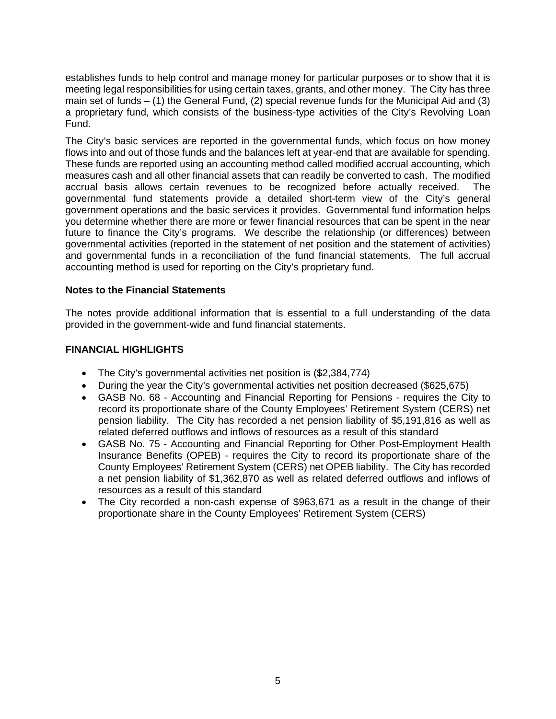establishes funds to help control and manage money for particular purposes or to show that it is meeting legal responsibilities for using certain taxes, grants, and other money. The City has three main set of funds  $-$  (1) the General Fund, (2) special revenue funds for the Municipal Aid and (3) a proprietary fund, which consists of the business-type activities of the City's Revolving Loan Fund.

The City's basic services are reported in the governmental funds, which focus on how money flows into and out of those funds and the balances left at year-end that are available for spending. These funds are reported using an accounting method called modified accrual accounting, which measures cash and all other financial assets that can readily be converted to cash. The modified accrual basis allows certain revenues to be recognized before actually received. The governmental fund statements provide a detailed short-term view of the City's general government operations and the basic services it provides. Governmental fund information helps you determine whether there are more or fewer financial resources that can be spent in the near future to finance the City's programs. We describe the relationship (or differences) between governmental activities (reported in the statement of net position and the statement of activities) and governmental funds in a reconciliation of the fund financial statements. The full accrual accounting method is used for reporting on the City's proprietary fund.

# **Notes to the Financial Statements**

The notes provide additional information that is essential to a full understanding of the data provided in the government-wide and fund financial statements.

#### **FINANCIAL HIGHLIGHTS**

- The City's governmental activities net position is (\$2,384,774)
- During the year the City's governmental activities net position decreased (\$625,675)
- GASB No. 68 Accounting and Financial Reporting for Pensions requires the City to record its proportionate share of the County Employees' Retirement System (CERS) net pension liability. The City has recorded a net pension liability of \$5,191,816 as well as related deferred outflows and inflows of resources as a result of this standard
- GASB No. 75 Accounting and Financial Reporting for Other Post-Employment Health Insurance Benefits (OPEB) - requires the City to record its proportionate share of the County Employees' Retirement System (CERS) net OPEB liability. The City has recorded a net pension liability of \$1,362,870 as well as related deferred outflows and inflows of resources as a result of this standard
- The City recorded a non-cash expense of \$963,671 as a result in the change of their proportionate share in the County Employees' Retirement System (CERS)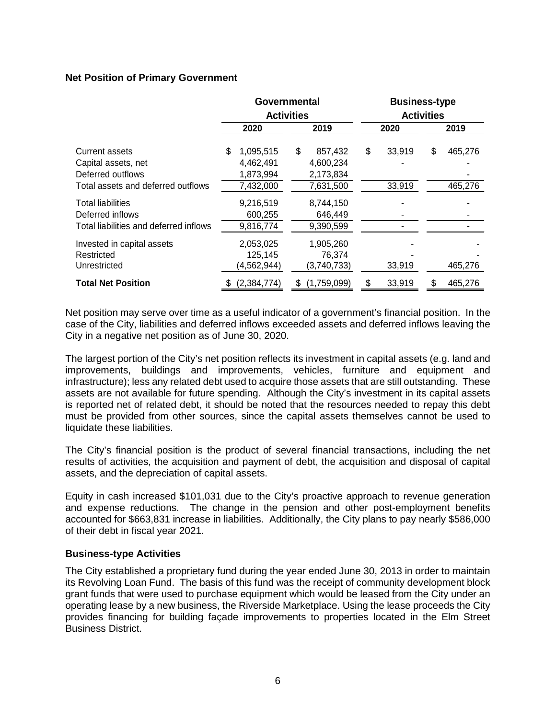# **Net Position of Primary Government**

|                                                                                                  | Governmental<br><b>Activities</b> |                                                  |      |                                                | <b>Business-type</b><br><b>Activities</b> |                  |    |                    |
|--------------------------------------------------------------------------------------------------|-----------------------------------|--------------------------------------------------|------|------------------------------------------------|-------------------------------------------|------------------|----|--------------------|
|                                                                                                  | 2020                              |                                                  | 2019 |                                                | 2020                                      |                  |    | 2019               |
| Current assets<br>Capital assets, net<br>Deferred outflows<br>Total assets and deferred outflows | \$                                | 1,095,515<br>4,462,491<br>1,873,994<br>7,432,000 | \$   | 857,432<br>4,600,234<br>2,173,834<br>7,631,500 | \$                                        | 33,919<br>33,919 | \$ | 465,276<br>465,276 |
| Total liabilities<br>Deferred inflows<br>Total liabilities and deferred inflows                  |                                   | 9,216,519<br>600,255<br>9,816,774                |      | 8,744,150<br>646,449<br>9,390,599              |                                           |                  |    |                    |
| Invested in capital assets<br>Restricted<br>Unrestricted                                         |                                   | 2,053,025<br>125,145<br>(4,562,944)              |      | 1,905,260<br>76,374<br>(3,740,733)             |                                           | 33,919           |    | 465,276            |
| <b>Total Net Position</b>                                                                        | (2, 384, 774)                     |                                                  | S    | (1,759,099)                                    | S                                         | 33,919           |    | 465,276            |

Net position may serve over time as a useful indicator of a government's financial position. In the case of the City, liabilities and deferred inflows exceeded assets and deferred inflows leaving the City in a negative net position as of June 30, 2020.

The largest portion of the City's net position reflects its investment in capital assets (e.g. land and improvements, buildings and improvements, vehicles, furniture and equipment and infrastructure); less any related debt used to acquire those assets that are still outstanding. These assets are not available for future spending. Although the City's investment in its capital assets is reported net of related debt, it should be noted that the resources needed to repay this debt must be provided from other sources, since the capital assets themselves cannot be used to liquidate these liabilities.

The City's financial position is the product of several financial transactions, including the net results of activities, the acquisition and payment of debt, the acquisition and disposal of capital assets, and the depreciation of capital assets.

Equity in cash increased \$101,031 due to the City's proactive approach to revenue generation and expense reductions. The change in the pension and other post-employment benefits accounted for \$663,831 increase in liabilities. Additionally, the City plans to pay nearly \$586,000 of their debt in fiscal year 2021.

#### **Business-type Activities**

The City established a proprietary fund during the year ended June 30, 2013 in order to maintain its Revolving Loan Fund. The basis of this fund was the receipt of community development block grant funds that were used to purchase equipment which would be leased from the City under an operating lease by a new business, the Riverside Marketplace. Using the lease proceeds the City provides financing for building façade improvements to properties located in the Elm Street Business District.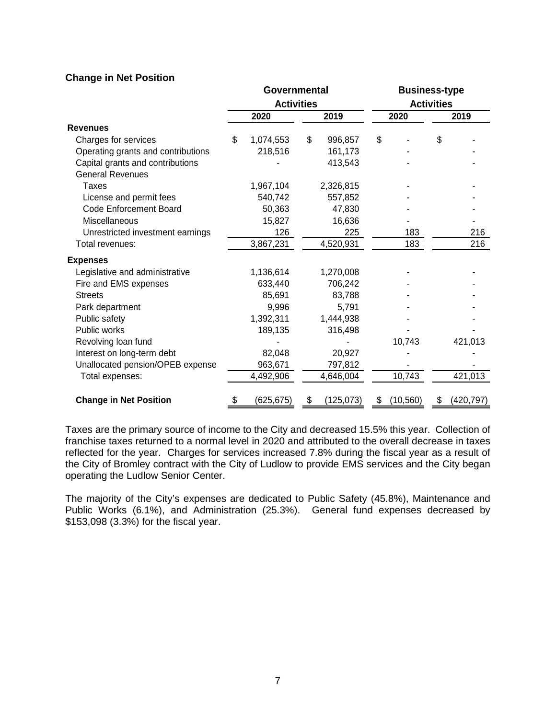# **Change in Net Position**

|                                    | Governmental<br><b>Activities</b> |           |    |            |      | <b>Business-type</b> |      | <b>Activities</b> |  |  |
|------------------------------------|-----------------------------------|-----------|----|------------|------|----------------------|------|-------------------|--|--|
|                                    |                                   | 2020      |    | 2019       | 2020 |                      | 2019 |                   |  |  |
| <b>Revenues</b>                    |                                   |           |    |            |      |                      |      |                   |  |  |
| Charges for services               | \$                                | 1,074,553 | \$ | 996,857    | \$   |                      | \$   |                   |  |  |
| Operating grants and contributions |                                   | 218,516   |    | 161,173    |      |                      |      |                   |  |  |
| Capital grants and contributions   |                                   |           |    | 413,543    |      |                      |      |                   |  |  |
| <b>General Revenues</b>            |                                   |           |    |            |      |                      |      |                   |  |  |
| Taxes                              |                                   | 1,967,104 |    | 2,326,815  |      |                      |      |                   |  |  |
| License and permit fees            |                                   | 540,742   |    | 557,852    |      |                      |      |                   |  |  |
| <b>Code Enforcement Board</b>      |                                   | 50,363    |    | 47,830     |      |                      |      |                   |  |  |
| <b>Miscellaneous</b>               |                                   | 15,827    |    | 16,636     |      |                      |      |                   |  |  |
| Unrestricted investment earnings   |                                   | 126       |    | 225        |      | 183                  |      | 216               |  |  |
| Total revenues:                    |                                   | 3,867,231 |    | 4,520,931  |      | 183                  |      | 216               |  |  |
| <b>Expenses</b>                    |                                   |           |    |            |      |                      |      |                   |  |  |
| Legislative and administrative     |                                   | 1,136,614 |    | 1,270,008  |      |                      |      |                   |  |  |
| Fire and EMS expenses              |                                   | 633,440   |    | 706,242    |      |                      |      |                   |  |  |
| <b>Streets</b>                     |                                   | 85,691    |    | 83,788     |      |                      |      |                   |  |  |
| Park department                    |                                   | 9,996     |    | 5,791      |      |                      |      |                   |  |  |
| Public safety                      |                                   | 1,392,311 |    | 1,444,938  |      |                      |      |                   |  |  |
| Public works                       |                                   | 189,135   |    | 316,498    |      |                      |      |                   |  |  |
| Revolving loan fund                |                                   |           |    |            |      | 10,743               |      | 421,013           |  |  |
| Interest on long-term debt         |                                   | 82,048    |    | 20,927     |      |                      |      |                   |  |  |
| Unallocated pension/OPEB expense   |                                   | 963,671   |    | 797,812    |      |                      |      |                   |  |  |
| Total expenses:                    |                                   | 4,492,906 |    | 4,646,004  |      | 10,743               |      | 421,013           |  |  |
| <b>Change in Net Position</b>      | \$                                | (625,675) | \$ | (125, 073) | \$   | (10, 560)            | S    | (420, 797)        |  |  |

Taxes are the primary source of income to the City and decreased 15.5% this year. Collection of franchise taxes returned to a normal level in 2020 and attributed to the overall decrease in taxes reflected for the year. Charges for services increased 7.8% during the fiscal year as a result of the City of Bromley contract with the City of Ludlow to provide EMS services and the City began operating the Ludlow Senior Center.

The majority of the City's expenses are dedicated to Public Safety (45.8%), Maintenance and Public Works (6.1%), and Administration (25.3%). General fund expenses decreased by \$153,098 (3.3%) for the fiscal year.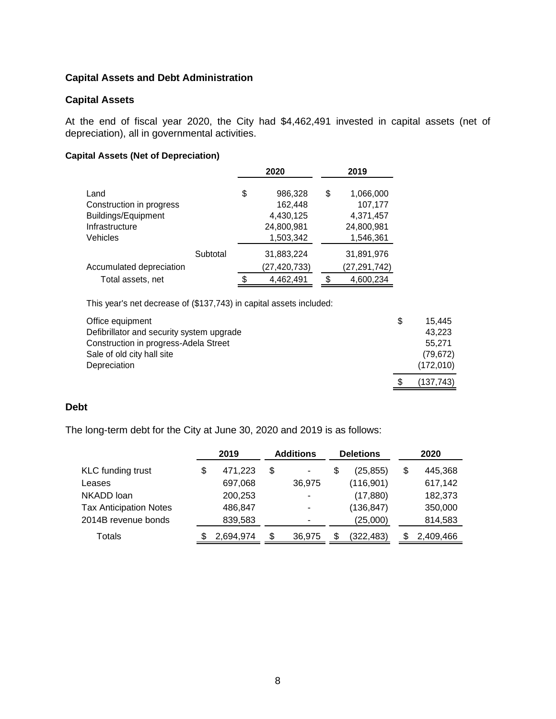# **Capital Assets and Debt Administration**

#### **Capital Assets**

At the end of fiscal year 2020, the City had \$4,462,491 invested in capital assets (net of depreciation), all in governmental activities.

#### **Capital Assets (Net of Depreciation)**

|                                                                                       |          |    | 2020                                                       | 2019                                                               |
|---------------------------------------------------------------------------------------|----------|----|------------------------------------------------------------|--------------------------------------------------------------------|
| Land<br>Construction in progress<br>Buildings/Equipment<br>Infrastructure<br>Vehicles |          | \$ | 986,328<br>162,448<br>4,430,125<br>24,800,981<br>1,503,342 | \$<br>1,066,000<br>107,177<br>4,371,457<br>24,800,981<br>1,546,361 |
|                                                                                       | Subtotal |    | 31,883,224                                                 | 31,891,976                                                         |
| Accumulated depreciation                                                              |          |    | (27, 420, 733)                                             | (27, 291, 742)                                                     |
| Total assets, net                                                                     |          | S  | 4,462,491                                                  | \$<br>4,600,234                                                    |

This year's net decrease of (\$137,743) in capital assets included:

| Office equipment                          | \$. | 15.445     |
|-------------------------------------------|-----|------------|
| Defibrillator and security system upgrade |     | 43.223     |
| Construction in progress-Adela Street     |     | 55.271     |
| Sale of old city hall site                |     | (79, 672)  |
| Depreciation                              |     | (172, 010) |
|                                           |     | (137, 743) |

# **Debt**

The long-term debt for the City at June 30, 2020 and 2019 is as follows:

|                               | 2019 |           | <b>Additions</b> |                          | <b>Deletions</b> | 2020 |           |
|-------------------------------|------|-----------|------------------|--------------------------|------------------|------|-----------|
| <b>KLC</b> funding trust      | \$   | 471,223   | S                | $\overline{\phantom{a}}$ | \$<br>(25, 855)  | \$   | 445,368   |
| Leases                        |      | 697,068   |                  | 36,975                   | (116,901)        |      | 617,142   |
| NKADD loan                    |      | 200,253   |                  | $\overline{\phantom{0}}$ | (17, 880)        |      | 182,373   |
| <b>Tax Anticipation Notes</b> |      | 486.847   |                  | $\overline{\phantom{0}}$ | (136,847)        |      | 350,000   |
| 2014B revenue bonds           |      | 839,583   |                  |                          | (25,000)         |      | 814,583   |
| Totals                        |      | 2,694,974 | S                | 36,975                   | \$<br>(322,483)  |      | 2,409,466 |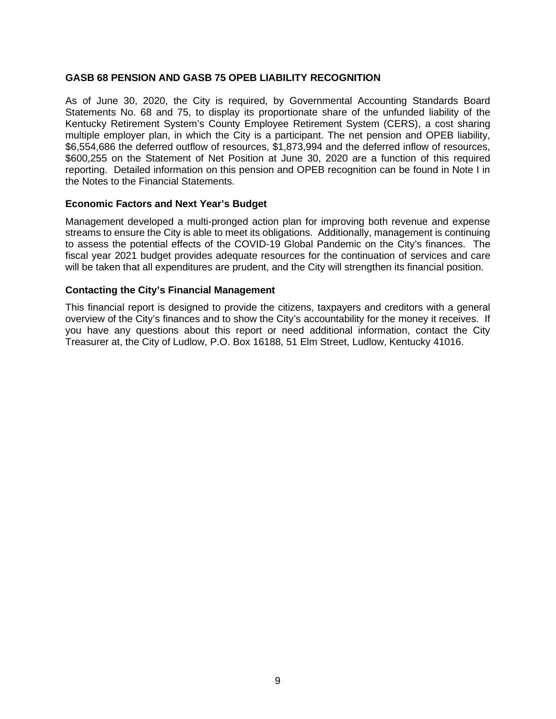#### **GASB 68 PENSION AND GASB 75 OPEB LIABILITY RECOGNITION**

As of June 30, 2020, the City is required, by Governmental Accounting Standards Board Statements No. 68 and 75, to display its proportionate share of the unfunded liability of the Kentucky Retirement System's County Employee Retirement System (CERS), a cost sharing multiple employer plan, in which the City is a participant. The net pension and OPEB liability, \$6,554,686 the deferred outflow of resources, \$1,873,994 and the deferred inflow of resources, \$600,255 on the Statement of Net Position at June 30, 2020 are a function of this required reporting. Detailed information on this pension and OPEB recognition can be found in Note I in the Notes to the Financial Statements.

#### **Economic Factors and Next Year's Budget**

Management developed a multi-pronged action plan for improving both revenue and expense streams to ensure the City is able to meet its obligations. Additionally, management is continuing to assess the potential effects of the COVID-19 Global Pandemic on the City's finances. The fiscal year 2021 budget provides adequate resources for the continuation of services and care will be taken that all expenditures are prudent, and the City will strengthen its financial position.

#### **Contacting the City's Financial Management**

This financial report is designed to provide the citizens, taxpayers and creditors with a general overview of the City's finances and to show the City's accountability for the money it receives. If you have any questions about this report or need additional information, contact the City Treasurer at, the City of Ludlow, P.O. Box 16188, 51 Elm Street, Ludlow, Kentucky 41016.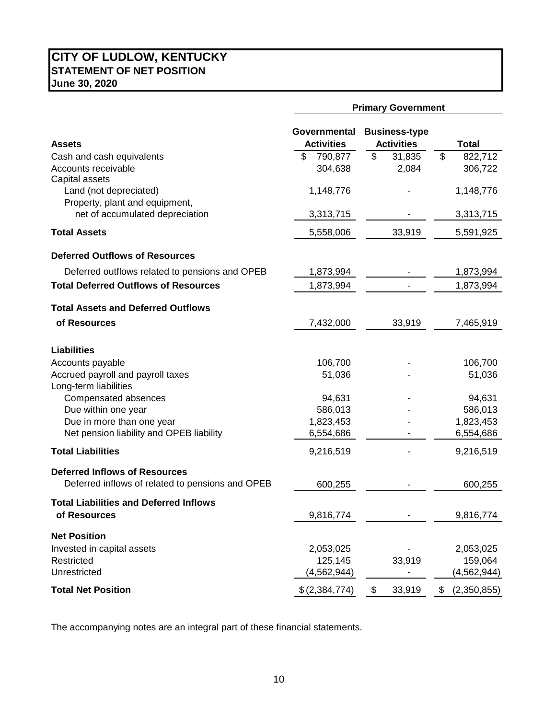# **CITY OF LUDLOW, KENTUCKY STATEMENT OF NET POSITION June 30, 2020**

|                                                                       | <b>Primary Government</b>         |                                           |                          |  |  |  |
|-----------------------------------------------------------------------|-----------------------------------|-------------------------------------------|--------------------------|--|--|--|
| <b>Assets</b>                                                         | Governmental<br><b>Activities</b> | <b>Business-type</b><br><b>Activities</b> | <b>Total</b>             |  |  |  |
| Cash and cash equivalents<br>Accounts receivable<br>Capital assets    | 790,877<br>\$<br>304,638          | \$<br>31,835<br>2,084                     | \$<br>822,712<br>306,722 |  |  |  |
| Land (not depreciated)<br>Property, plant and equipment,              | 1,148,776                         |                                           | 1,148,776                |  |  |  |
| net of accumulated depreciation                                       | 3,313,715                         |                                           | 3,313,715                |  |  |  |
| <b>Total Assets</b>                                                   | 5,558,006                         | 33,919                                    | 5,591,925                |  |  |  |
| <b>Deferred Outflows of Resources</b>                                 |                                   |                                           |                          |  |  |  |
| Deferred outflows related to pensions and OPEB                        | 1,873,994                         |                                           | 1,873,994                |  |  |  |
| <b>Total Deferred Outflows of Resources</b>                           | 1,873,994                         |                                           | 1,873,994                |  |  |  |
| <b>Total Assets and Deferred Outflows</b>                             |                                   |                                           |                          |  |  |  |
| of Resources                                                          | 7,432,000                         | 33,919                                    | 7,465,919                |  |  |  |
| <b>Liabilities</b>                                                    |                                   |                                           |                          |  |  |  |
| Accounts payable                                                      | 106,700                           |                                           | 106,700                  |  |  |  |
| Accrued payroll and payroll taxes<br>Long-term liabilities            | 51,036                            |                                           | 51,036                   |  |  |  |
| Compensated absences                                                  | 94,631                            |                                           | 94,631                   |  |  |  |
| Due within one year                                                   | 586,013                           |                                           | 586,013<br>1,823,453     |  |  |  |
| Due in more than one year<br>Net pension liability and OPEB liability | 1,823,453<br>6,554,686            |                                           | 6,554,686                |  |  |  |
| <b>Total Liabilities</b>                                              | 9,216,519                         |                                           | 9,216,519                |  |  |  |
| <b>Deferred Inflows of Resources</b>                                  |                                   |                                           |                          |  |  |  |
| Deferred inflows of related to pensions and OPEB                      | 600,255                           |                                           | 600,255                  |  |  |  |
| <b>Total Liabilities and Deferred Inflows</b><br>of Resources         | 9,816,774                         |                                           | 9,816,774                |  |  |  |
| <b>Net Position</b>                                                   |                                   |                                           |                          |  |  |  |
| Invested in capital assets                                            | 2,053,025                         |                                           | 2,053,025                |  |  |  |
| Restricted<br>Unrestricted                                            | 125,145<br>(4, 562, 944)          | 33,919                                    | 159,064<br>(4, 562, 944) |  |  |  |
| <b>Total Net Position</b>                                             | \$(2,384,774)                     | 33,919<br>\$                              | \$<br>(2,350,855)        |  |  |  |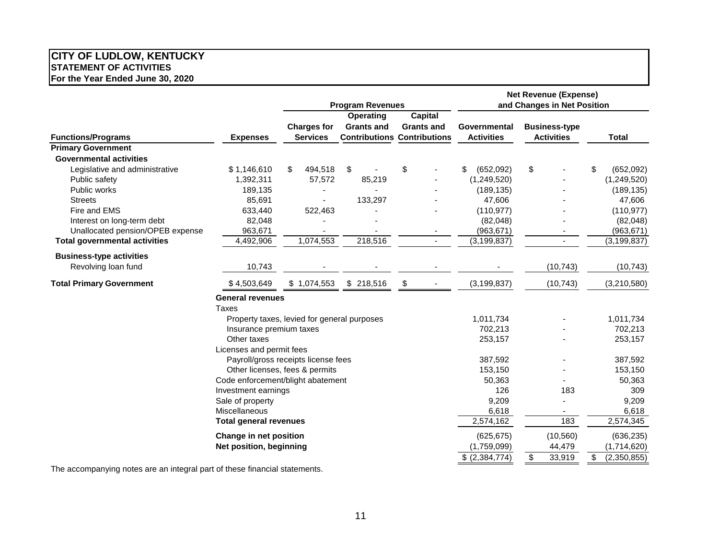#### **CITY OF LUDLOW, KENTUCKY STATEMENT OF ACTIVITIES For the Year Ended June 30, 2020**

|                                      |                                   |                                             | <b>Program Revenues</b>               |                                     |                     | <b>Net Revenue (Expense)</b>                        |                   |
|--------------------------------------|-----------------------------------|---------------------------------------------|---------------------------------------|-------------------------------------|---------------------|-----------------------------------------------------|-------------------|
|                                      |                                   | <b>Charges for</b>                          | <b>Operating</b><br><b>Grants and</b> | <b>Capital</b><br><b>Grants and</b> | <b>Governmental</b> | and Changes in Net Position<br><b>Business-type</b> |                   |
| <b>Functions/Programs</b>            | <b>Expenses</b>                   | <b>Services</b>                             |                                       | <b>Contributions Contributions</b>  | <b>Activities</b>   | <b>Activities</b>                                   | <b>Total</b>      |
| <b>Primary Government</b>            |                                   |                                             |                                       |                                     |                     |                                                     |                   |
| <b>Governmental activities</b>       |                                   |                                             |                                       |                                     |                     |                                                     |                   |
| Legislative and administrative       | \$1,146,610                       | 494,518<br>\$                               | \$                                    | \$                                  | \$<br>(652,092)     | \$                                                  | \$<br>(652,092)   |
| Public safety                        | 1,392,311                         | 57,572                                      | 85,219                                |                                     | (1,249,520)         |                                                     | (1,249,520)       |
| Public works                         | 189,135                           |                                             |                                       |                                     | (189, 135)          |                                                     | (189, 135)        |
| <b>Streets</b>                       | 85,691                            |                                             | 133,297                               |                                     | 47,606              |                                                     | 47,606            |
| Fire and EMS                         | 633,440                           | 522,463                                     |                                       |                                     | (110, 977)          |                                                     | (110, 977)        |
| Interest on long-term debt           | 82,048                            |                                             |                                       |                                     | (82,048)            |                                                     | (82,048)          |
| Unallocated pension/OPEB expense     | 963,671                           | $\overline{\phantom{a}}$                    |                                       | $\overline{\phantom{a}}$            | (963, 671)          |                                                     | (963, 671)        |
| <b>Total governmental activities</b> | 4,492,906                         | 1,074,553                                   | 218,516                               | $\blacksquare$                      | (3, 199, 837)       | $\blacksquare$                                      | (3, 199, 837)     |
| <b>Business-type activities</b>      |                                   |                                             |                                       |                                     |                     |                                                     |                   |
| Revolving loan fund                  | 10,743                            |                                             |                                       |                                     |                     | (10, 743)                                           | (10, 743)         |
| <b>Total Primary Government</b>      | \$4,503,649                       | \$1,074,553                                 | \$218,516                             | \$                                  | (3, 199, 837)       | (10, 743)                                           | (3,210,580)       |
|                                      | <b>General revenues</b>           |                                             |                                       |                                     |                     |                                                     |                   |
|                                      | <b>Taxes</b>                      |                                             |                                       |                                     |                     |                                                     |                   |
|                                      |                                   | Property taxes, levied for general purposes |                                       |                                     | 1,011,734           |                                                     | 1,011,734         |
|                                      | Insurance premium taxes           |                                             |                                       |                                     | 702,213             |                                                     | 702,213           |
|                                      | Other taxes                       |                                             |                                       |                                     | 253,157             |                                                     | 253,157           |
|                                      | Licenses and permit fees          |                                             |                                       |                                     |                     |                                                     |                   |
|                                      |                                   | Payroll/gross receipts license fees         |                                       |                                     | 387,592             |                                                     | 387,592           |
|                                      |                                   | Other licenses, fees & permits              |                                       |                                     | 153,150             |                                                     | 153,150           |
|                                      | Code enforcement/blight abatement |                                             |                                       |                                     | 50,363              |                                                     | 50,363            |
|                                      | Investment earnings               |                                             |                                       |                                     | 126                 | 183                                                 | 309               |
|                                      | Sale of property                  |                                             |                                       |                                     | 9,209               |                                                     | 9,209             |
|                                      | Miscellaneous                     |                                             |                                       |                                     | 6,618               |                                                     | 6,618             |
|                                      | <b>Total general revenues</b>     |                                             |                                       |                                     | 2,574,162           | 183                                                 | 2,574,345         |
|                                      | Change in net position            |                                             |                                       |                                     | (625, 675)          | (10, 560)                                           | (636, 235)        |
|                                      | Net position, beginning           |                                             |                                       |                                     | (1,759,099)         | 44,479                                              | (1,714,620)       |
|                                      |                                   |                                             |                                       |                                     | \$ (2,384,774)      | \$<br>33,919                                        | \$<br>(2,350,855) |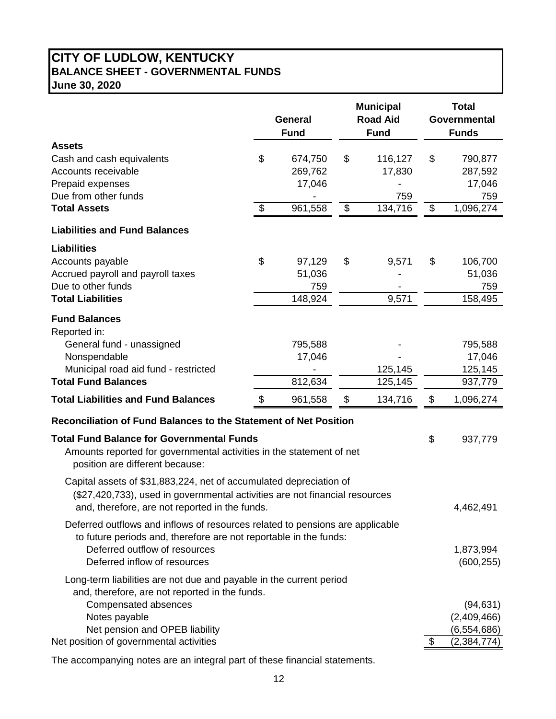# **CITY OF LUDLOW, KENTUCKY BALANCE SHEET - GOVERNMENTAL FUNDS June 30, 2020**

|                                                                                                                                                                                                                                             | <b>Municipal</b><br><b>Road Aid</b><br><b>General</b><br><b>Fund</b><br><b>Fund</b> |                                    |    | <b>Total</b><br>Governmental<br><b>Funds</b> |                                                                  |
|---------------------------------------------------------------------------------------------------------------------------------------------------------------------------------------------------------------------------------------------|-------------------------------------------------------------------------------------|------------------------------------|----|----------------------------------------------|------------------------------------------------------------------|
| <b>Assets</b><br>Cash and cash equivalents<br>Accounts receivable<br>Prepaid expenses<br>Due from other funds                                                                                                                               | \$                                                                                  | 674,750<br>269,762<br>17,046       | \$ | 116,127<br>17,830<br>759                     | \$<br>790,877<br>287,592<br>17,046<br>759                        |
| <b>Total Assets</b>                                                                                                                                                                                                                         | $\boldsymbol{\mathsf{S}}$                                                           | 961,558                            | \$ | 134,716                                      | \$<br>1,096,274                                                  |
| <b>Liabilities and Fund Balances</b>                                                                                                                                                                                                        |                                                                                     |                                    |    |                                              |                                                                  |
| <b>Liabilities</b><br>Accounts payable<br>Accrued payroll and payroll taxes<br>Due to other funds<br><b>Total Liabilities</b>                                                                                                               | \$                                                                                  | 97,129<br>51,036<br>759<br>148,924 | \$ | 9,571<br>9,571                               | \$<br>106,700<br>51,036<br>759<br>158,495                        |
| <b>Fund Balances</b><br>Reported in:<br>General fund - unassigned<br>Nonspendable<br>Municipal road aid fund - restricted<br><b>Total Fund Balances</b>                                                                                     |                                                                                     | 795,588<br>17,046<br>812,634       |    | 125,145<br>125,145                           | 795,588<br>17,046<br>125,145<br>937,779                          |
| <b>Total Liabilities and Fund Balances</b>                                                                                                                                                                                                  |                                                                                     | 961,558                            | \$ | 134,716                                      | \$<br>1,096,274                                                  |
| Reconciliation of Fund Balances to the Statement of Net Position                                                                                                                                                                            |                                                                                     |                                    |    |                                              |                                                                  |
| <b>Total Fund Balance for Governmental Funds</b><br>Amounts reported for governmental activities in the statement of net<br>position are different because:                                                                                 |                                                                                     |                                    |    |                                              | \$<br>937,779                                                    |
| Capital assets of \$31,883,224, net of accumulated depreciation of<br>(\$27,420,733), used in governmental activities are not financial resources<br>and, therefore, are not reported in the funds.                                         |                                                                                     |                                    |    |                                              | 4,462,491                                                        |
| Deferred outflows and inflows of resources related to pensions are applicable<br>to future periods and, therefore are not reportable in the funds:<br>Deferred outflow of resources<br>Deferred inflow of resources                         |                                                                                     |                                    |    |                                              | 1,873,994<br>(600, 255)                                          |
| Long-term liabilities are not due and payable in the current period<br>and, therefore, are not reported in the funds.<br>Compensated absences<br>Notes payable<br>Net pension and OPEB liability<br>Net position of governmental activities |                                                                                     |                                    |    |                                              | \$<br>(94, 631)<br>(2,409,466)<br>(6, 554, 686)<br>(2, 384, 774) |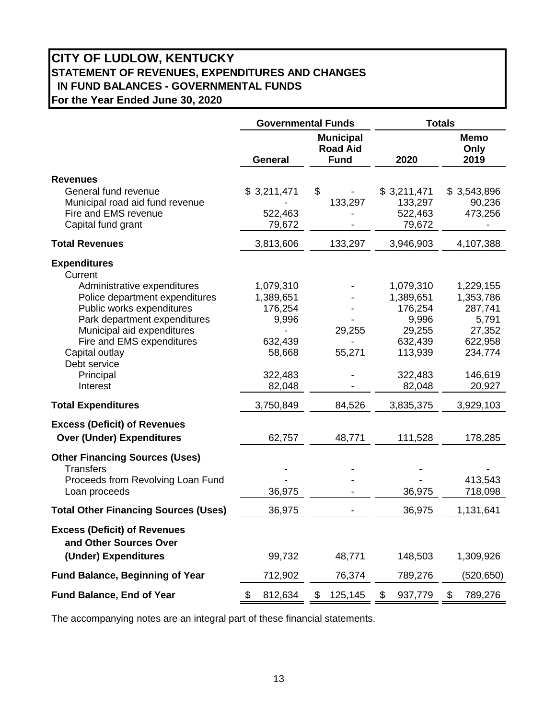# **CITY OF LUDLOW, KENTUCKY STATEMENT OF REVENUES, EXPENDITURES AND CHANGES IN FUND BALANCES - GOVERNMENTAL FUNDS For the Year Ended June 30, 2020**

|                                                                                                                                                                                                                                                                                    | <b>Governmental Funds</b> |                                                                                      |                                                    |                  |    | <b>Totals</b>                                                                                   |    |                                                                                                 |  |
|------------------------------------------------------------------------------------------------------------------------------------------------------------------------------------------------------------------------------------------------------------------------------------|---------------------------|--------------------------------------------------------------------------------------|----------------------------------------------------|------------------|----|-------------------------------------------------------------------------------------------------|----|-------------------------------------------------------------------------------------------------|--|
|                                                                                                                                                                                                                                                                                    |                           | <b>General</b>                                                                       | <b>Municipal</b><br><b>Road Aid</b><br><b>Fund</b> |                  |    | 2020                                                                                            |    | <b>Memo</b><br>Only<br>2019                                                                     |  |
| <b>Revenues</b><br>General fund revenue<br>Municipal road aid fund revenue<br>Fire and EMS revenue<br>Capital fund grant                                                                                                                                                           |                           | \$3,211,471<br>522,463<br>79,672                                                     | \$                                                 | 133,297          |    | \$3,211,471<br>133,297<br>522,463<br>79,672                                                     |    | \$3,543,896<br>90,236<br>473,256                                                                |  |
| <b>Total Revenues</b>                                                                                                                                                                                                                                                              |                           | 3,813,606                                                                            |                                                    | 133,297          |    | 3,946,903                                                                                       |    | 4,107,388                                                                                       |  |
| <b>Expenditures</b><br>Current<br>Administrative expenditures<br>Police department expenditures<br>Public works expenditures<br>Park department expenditures<br>Municipal aid expenditures<br>Fire and EMS expenditures<br>Capital outlay<br>Debt service<br>Principal<br>Interest |                           | 1,079,310<br>1,389,651<br>176,254<br>9,996<br>632,439<br>58,668<br>322,483<br>82,048 |                                                    | 29,255<br>55,271 |    | 1,079,310<br>1,389,651<br>176,254<br>9,996<br>29,255<br>632,439<br>113,939<br>322,483<br>82,048 |    | 1,229,155<br>1,353,786<br>287,741<br>5,791<br>27,352<br>622,958<br>234,774<br>146,619<br>20,927 |  |
| <b>Total Expenditures</b>                                                                                                                                                                                                                                                          |                           | 3,750,849                                                                            |                                                    | 84,526           |    | 3,835,375                                                                                       |    | 3,929,103                                                                                       |  |
| <b>Excess (Deficit) of Revenues</b><br><b>Over (Under) Expenditures</b>                                                                                                                                                                                                            |                           | 62,757                                                                               |                                                    | 48,771           |    | 111,528                                                                                         |    | 178,285                                                                                         |  |
| <b>Other Financing Sources (Uses)</b><br><b>Transfers</b><br>Proceeds from Revolving Loan Fund<br>Loan proceeds                                                                                                                                                                    |                           | 36,975                                                                               |                                                    |                  |    | 36,975                                                                                          |    | 413,543<br>718,098                                                                              |  |
| <b>Total Other Financing Sources (Uses)</b>                                                                                                                                                                                                                                        |                           | 36,975                                                                               |                                                    |                  |    | 36,975                                                                                          |    | 1,131,641                                                                                       |  |
| <b>Excess (Deficit) of Revenues</b><br>and Other Sources Over<br>(Under) Expenditures                                                                                                                                                                                              |                           | 99,732                                                                               |                                                    | 48,771           |    | 148,503                                                                                         |    | 1,309,926                                                                                       |  |
| <b>Fund Balance, Beginning of Year</b>                                                                                                                                                                                                                                             |                           | 712,902                                                                              |                                                    | 76,374           |    | 789,276                                                                                         |    | (520,650)                                                                                       |  |
| <b>Fund Balance, End of Year</b>                                                                                                                                                                                                                                                   | \$                        | 812,634                                                                              | \$                                                 | 125,145          | \$ | 937,779                                                                                         | \$ | 789,276                                                                                         |  |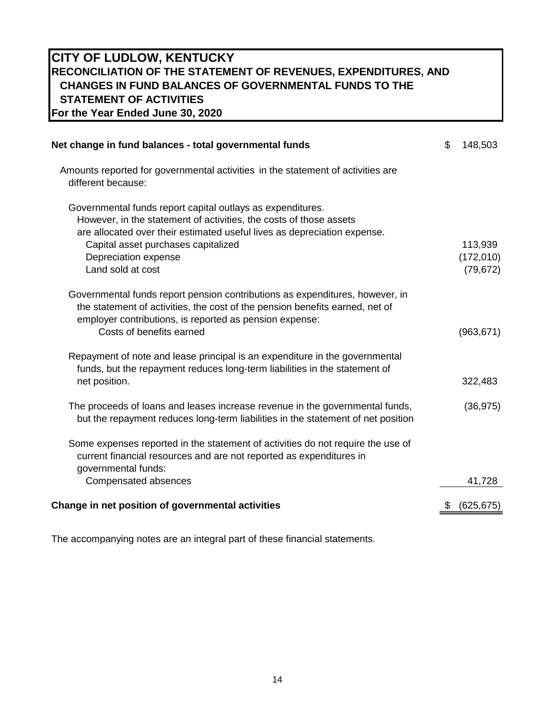# **CITY OF LUDLOW, KENTUCKY RECONCILIATION OF THE STATEMENT OF REVENUES, EXPENDITURES, AND CHANGES IN FUND BALANCES OF GOVERNMENTAL FUNDS TO THE STATEMENT OF ACTIVITIES For the Year Ended June 30, 2020**

| Net change in fund balances - total governmental funds                                                                                                                                                                                                                                           | \$<br>148,503                     |
|--------------------------------------------------------------------------------------------------------------------------------------------------------------------------------------------------------------------------------------------------------------------------------------------------|-----------------------------------|
| Amounts reported for governmental activities in the statement of activities are<br>different because:                                                                                                                                                                                            |                                   |
| Governmental funds report capital outlays as expenditures.<br>However, in the statement of activities, the costs of those assets<br>are allocated over their estimated useful lives as depreciation expense.<br>Capital asset purchases capitalized<br>Depreciation expense<br>Land sold at cost | 113,939<br>(172,010)<br>(79, 672) |
| Governmental funds report pension contributions as expenditures, however, in<br>the statement of activities, the cost of the pension benefits earned, net of<br>employer contributions, is reported as pension expense:<br>Costs of benefits earned                                              | (963, 671)                        |
| Repayment of note and lease principal is an expenditure in the governmental<br>funds, but the repayment reduces long-term liabilities in the statement of<br>net position.                                                                                                                       | 322,483                           |
| The proceeds of loans and leases increase revenue in the governmental funds,<br>but the repayment reduces long-term liabilities in the statement of net position                                                                                                                                 | (36, 975)                         |
| Some expenses reported in the statement of activities do not require the use of<br>current financial resources and are not reported as expenditures in<br>governmental funds:                                                                                                                    |                                   |
| Compensated absences                                                                                                                                                                                                                                                                             | 41,728                            |
| Change in net position of governmental activities                                                                                                                                                                                                                                                | (625, 675)                        |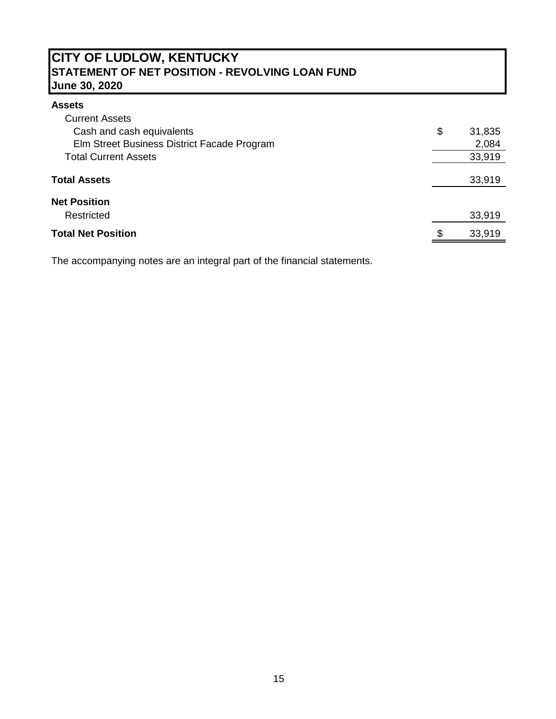# **CITY OF LUDLOW, KENTUCKY STATEMENT OF NET POSITION - REVOLVING LOAN FUND June 30, 2020**

# **Assets**

| <b>Current Assets</b>                       |    |        |
|---------------------------------------------|----|--------|
| Cash and cash equivalents                   | \$ | 31,835 |
| Elm Street Business District Facade Program |    | 2,084  |
| <b>Total Current Assets</b>                 |    | 33,919 |
| <b>Total Assets</b>                         |    | 33,919 |
| <b>Net Position</b>                         |    |        |
| Restricted                                  |    | 33,919 |
| <b>Total Net Position</b>                   | S  | 33,919 |
|                                             |    |        |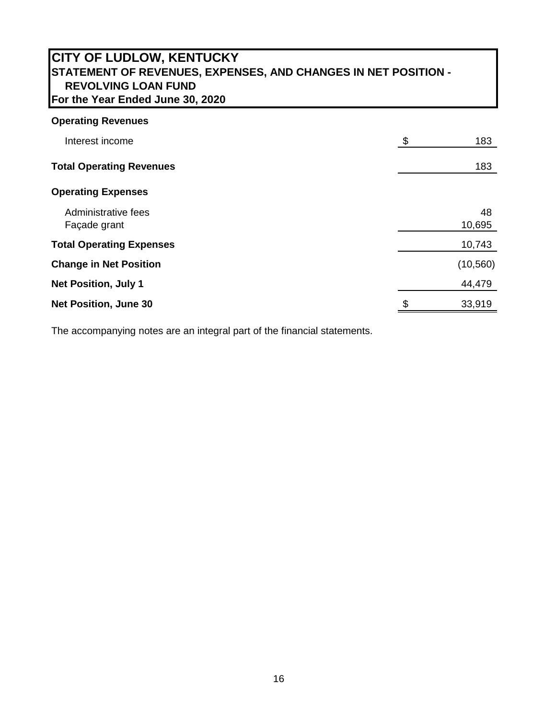# **CITY OF LUDLOW, KENTUCKY STATEMENT OF REVENUES, EXPENSES, AND CHANGES IN NET POSITION - REVOLVING LOAN FUND For the Year Ended June 30, 2020**

# **Operating Revenues**

| Interest income                     | \$<br>183    |
|-------------------------------------|--------------|
| <b>Total Operating Revenues</b>     | 183          |
| <b>Operating Expenses</b>           |              |
| Administrative fees<br>Façade grant | 48<br>10,695 |
| <b>Total Operating Expenses</b>     | 10,743       |
| <b>Change in Net Position</b>       | (10, 560)    |
| <b>Net Position, July 1</b>         | 44,479       |
| <b>Net Position, June 30</b>        | \$<br>33,919 |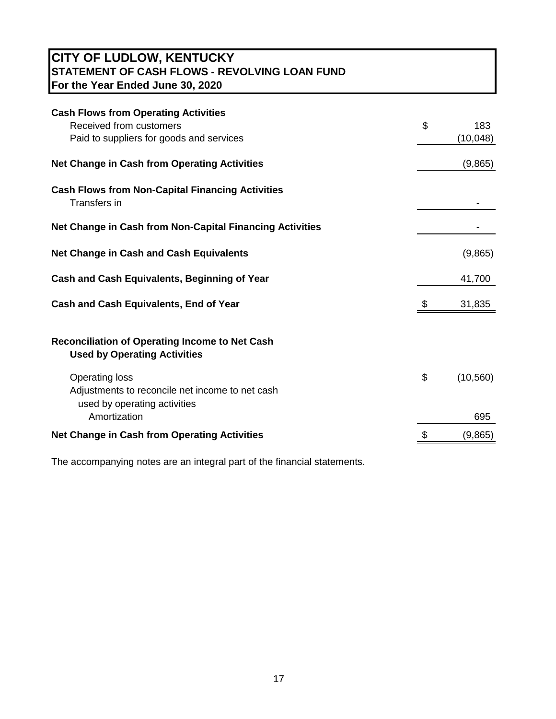# **CITY OF LUDLOW, KENTUCKY STATEMENT OF CASH FLOWS - REVOLVING LOAN FUND For the Year Ended June 30, 2020**

| <b>Cash Flows from Operating Activities</b>                                                              |                 |
|----------------------------------------------------------------------------------------------------------|-----------------|
| Received from customers                                                                                  | \$<br>183       |
| Paid to suppliers for goods and services                                                                 | (10, 048)       |
| <b>Net Change in Cash from Operating Activities</b>                                                      | (9,865)         |
| <b>Cash Flows from Non-Capital Financing Activities</b><br>Transfers in                                  |                 |
| Net Change in Cash from Non-Capital Financing Activities                                                 |                 |
| <b>Net Change in Cash and Cash Equivalents</b>                                                           | (9,865)         |
| <b>Cash and Cash Equivalents, Beginning of Year</b>                                                      | 41,700          |
| <b>Cash and Cash Equivalents, End of Year</b>                                                            | 31,835          |
| <b>Reconciliation of Operating Income to Net Cash</b><br><b>Used by Operating Activities</b>             |                 |
| <b>Operating loss</b><br>Adjustments to reconcile net income to net cash<br>used by operating activities | \$<br>(10, 560) |
| Amortization                                                                                             | 695             |
| Net Change in Cash from Operating Activities                                                             | (9,865)         |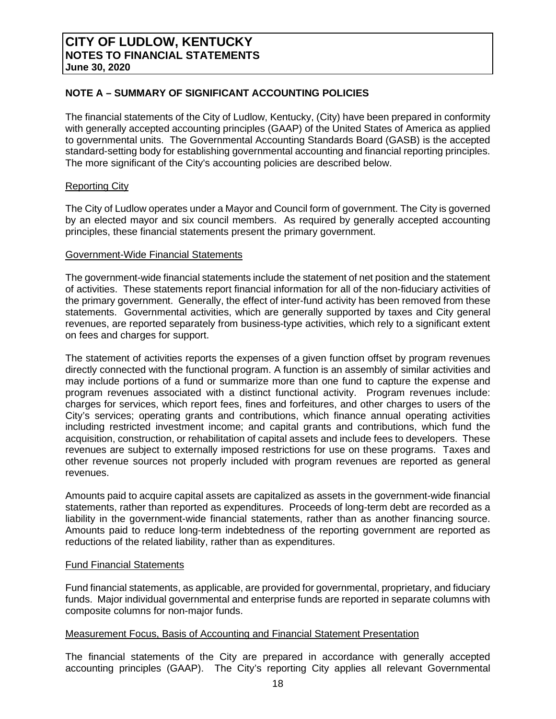# **NOTE A – SUMMARY OF SIGNIFICANT ACCOUNTING POLICIES**

The financial statements of the City of Ludlow, Kentucky, (City) have been prepared in conformity with generally accepted accounting principles (GAAP) of the United States of America as applied to governmental units. The Governmental Accounting Standards Board (GASB) is the accepted standard-setting body for establishing governmental accounting and financial reporting principles. The more significant of the City's accounting policies are described below.

#### Reporting City

The City of Ludlow operates under a Mayor and Council form of government. The City is governed by an elected mayor and six council members. As required by generally accepted accounting principles, these financial statements present the primary government.

#### Government-Wide Financial Statements

The government-wide financial statements include the statement of net position and the statement of activities. These statements report financial information for all of the non-fiduciary activities of the primary government. Generally, the effect of inter-fund activity has been removed from these statements. Governmental activities, which are generally supported by taxes and City general revenues, are reported separately from business-type activities, which rely to a significant extent on fees and charges for support.

The statement of activities reports the expenses of a given function offset by program revenues directly connected with the functional program. A function is an assembly of similar activities and may include portions of a fund or summarize more than one fund to capture the expense and program revenues associated with a distinct functional activity. Program revenues include: charges for services, which report fees, fines and forfeitures, and other charges to users of the City's services; operating grants and contributions, which finance annual operating activities including restricted investment income; and capital grants and contributions, which fund the acquisition, construction, or rehabilitation of capital assets and include fees to developers. These revenues are subject to externally imposed restrictions for use on these programs. Taxes and other revenue sources not properly included with program revenues are reported as general revenues.

Amounts paid to acquire capital assets are capitalized as assets in the government-wide financial statements, rather than reported as expenditures. Proceeds of long-term debt are recorded as a liability in the government-wide financial statements, rather than as another financing source. Amounts paid to reduce long-term indebtedness of the reporting government are reported as reductions of the related liability, rather than as expenditures.

# Fund Financial Statements

Fund financial statements, as applicable, are provided for governmental, proprietary, and fiduciary funds. Major individual governmental and enterprise funds are reported in separate columns with composite columns for non-major funds.

#### Measurement Focus, Basis of Accounting and Financial Statement Presentation

The financial statements of the City are prepared in accordance with generally accepted accounting principles (GAAP). The City's reporting City applies all relevant Governmental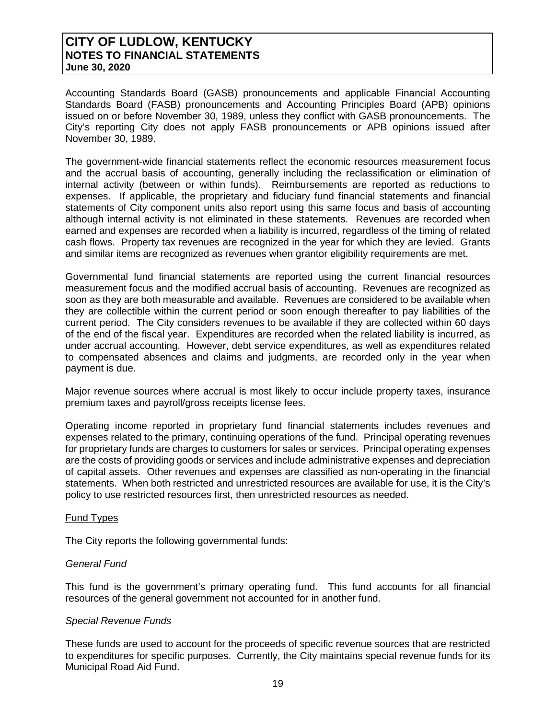Accounting Standards Board (GASB) pronouncements and applicable Financial Accounting Standards Board (FASB) pronouncements and Accounting Principles Board (APB) opinions issued on or before November 30, 1989, unless they conflict with GASB pronouncements. The City's reporting City does not apply FASB pronouncements or APB opinions issued after November 30, 1989.

The government-wide financial statements reflect the economic resources measurement focus and the accrual basis of accounting, generally including the reclassification or elimination of internal activity (between or within funds). Reimbursements are reported as reductions to expenses. If applicable, the proprietary and fiduciary fund financial statements and financial statements of City component units also report using this same focus and basis of accounting although internal activity is not eliminated in these statements. Revenues are recorded when earned and expenses are recorded when a liability is incurred, regardless of the timing of related cash flows. Property tax revenues are recognized in the year for which they are levied. Grants and similar items are recognized as revenues when grantor eligibility requirements are met.

Governmental fund financial statements are reported using the current financial resources measurement focus and the modified accrual basis of accounting. Revenues are recognized as soon as they are both measurable and available. Revenues are considered to be available when they are collectible within the current period or soon enough thereafter to pay liabilities of the current period. The City considers revenues to be available if they are collected within 60 days of the end of the fiscal year. Expenditures are recorded when the related liability is incurred, as under accrual accounting. However, debt service expenditures, as well as expenditures related to compensated absences and claims and judgments, are recorded only in the year when payment is due.

Major revenue sources where accrual is most likely to occur include property taxes, insurance premium taxes and payroll/gross receipts license fees.

Operating income reported in proprietary fund financial statements includes revenues and expenses related to the primary, continuing operations of the fund. Principal operating revenues for proprietary funds are charges to customers for sales or services. Principal operating expenses are the costs of providing goods or services and include administrative expenses and depreciation of capital assets. Other revenues and expenses are classified as non-operating in the financial statements. When both restricted and unrestricted resources are available for use, it is the City's policy to use restricted resources first, then unrestricted resources as needed.

#### Fund Types

The City reports the following governmental funds:

#### *General Fund*

This fund is the government's primary operating fund. This fund accounts for all financial resources of the general government not accounted for in another fund.

#### *Special Revenue Funds*

These funds are used to account for the proceeds of specific revenue sources that are restricted to expenditures for specific purposes. Currently, the City maintains special revenue funds for its Municipal Road Aid Fund.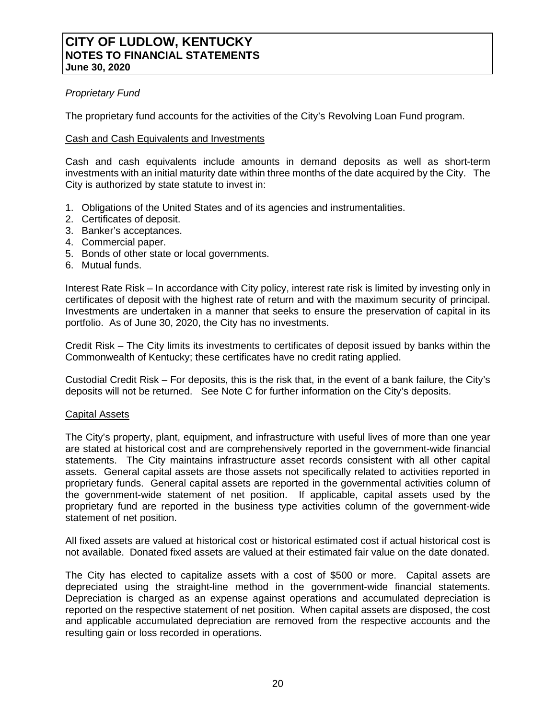# *Proprietary Fund*

The proprietary fund accounts for the activities of the City's Revolving Loan Fund program.

#### Cash and Cash Equivalents and Investments

Cash and cash equivalents include amounts in demand deposits as well as short-term investments with an initial maturity date within three months of the date acquired by the City. The City is authorized by state statute to invest in:

- 1. Obligations of the United States and of its agencies and instrumentalities.
- 2. Certificates of deposit.
- 3. Banker's acceptances.
- 4. Commercial paper.
- 5. Bonds of other state or local governments.
- 6. Mutual funds.

Interest Rate Risk – In accordance with City policy, interest rate risk is limited by investing only in certificates of deposit with the highest rate of return and with the maximum security of principal. Investments are undertaken in a manner that seeks to ensure the preservation of capital in its portfolio. As of June 30, 2020, the City has no investments.

Credit Risk – The City limits its investments to certificates of deposit issued by banks within the Commonwealth of Kentucky; these certificates have no credit rating applied.

Custodial Credit Risk – For deposits, this is the risk that, in the event of a bank failure, the City's deposits will not be returned. See Note C for further information on the City's deposits.

#### Capital Assets

The City's property, plant, equipment, and infrastructure with useful lives of more than one year are stated at historical cost and are comprehensively reported in the government-wide financial statements. The City maintains infrastructure asset records consistent with all other capital assets. General capital assets are those assets not specifically related to activities reported in proprietary funds. General capital assets are reported in the governmental activities column of the government-wide statement of net position. If applicable, capital assets used by the proprietary fund are reported in the business type activities column of the government-wide statement of net position.

All fixed assets are valued at historical cost or historical estimated cost if actual historical cost is not available. Donated fixed assets are valued at their estimated fair value on the date donated.

The City has elected to capitalize assets with a cost of \$500 or more. Capital assets are depreciated using the straight-line method in the government-wide financial statements. Depreciation is charged as an expense against operations and accumulated depreciation is reported on the respective statement of net position. When capital assets are disposed, the cost and applicable accumulated depreciation are removed from the respective accounts and the resulting gain or loss recorded in operations.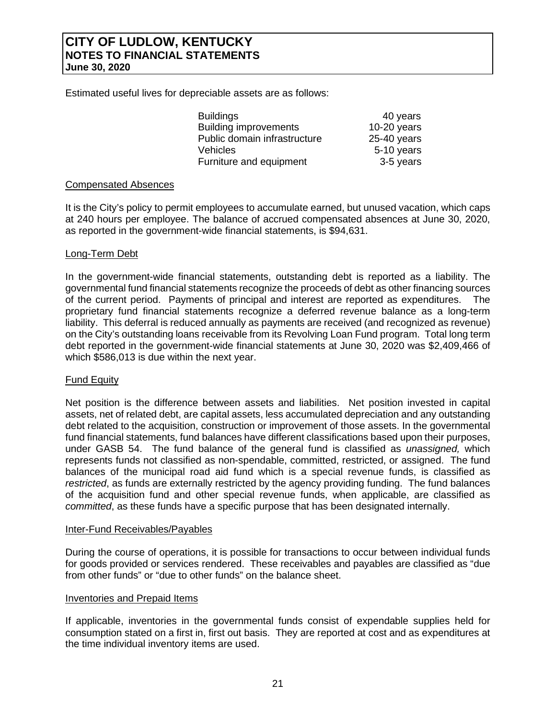Estimated useful lives for depreciable assets are as follows:

| <b>Buildings</b>             | 40 years      |
|------------------------------|---------------|
| <b>Building improvements</b> | $10-20$ years |
| Public domain infrastructure | $25-40$ years |
| <b>Vehicles</b>              | 5-10 years    |
| Furniture and equipment      | 3-5 years     |

#### Compensated Absences

It is the City's policy to permit employees to accumulate earned, but unused vacation, which caps at 240 hours per employee. The balance of accrued compensated absences at June 30, 2020, as reported in the government-wide financial statements, is \$94,631.

#### Long-Term Debt

In the government-wide financial statements, outstanding debt is reported as a liability. The governmental fund financial statements recognize the proceeds of debt as other financing sources of the current period. Payments of principal and interest are reported as expenditures. proprietary fund financial statements recognize a deferred revenue balance as a long-term liability. This deferral is reduced annually as payments are received (and recognized as revenue) on the City's outstanding loans receivable from its Revolving Loan Fund program. Total long term debt reported in the government-wide financial statements at June 30, 2020 was \$2,409,466 of which \$586,013 is due within the next year.

# Fund Equity

Net position is the difference between assets and liabilities. Net position invested in capital assets, net of related debt, are capital assets, less accumulated depreciation and any outstanding debt related to the acquisition, construction or improvement of those assets. In the governmental fund financial statements, fund balances have different classifications based upon their purposes, under GASB 54. The fund balance of the general fund is classified as *unassigned,* which represents funds not classified as non-spendable, committed, restricted, or assigned. The fund balances of the municipal road aid fund which is a special revenue funds, is classified as *restricted*, as funds are externally restricted by the agency providing funding. The fund balances of the acquisition fund and other special revenue funds, when applicable, are classified as *committed*, as these funds have a specific purpose that has been designated internally.

#### Inter-Fund Receivables/Payables

During the course of operations, it is possible for transactions to occur between individual funds for goods provided or services rendered. These receivables and payables are classified as "due from other funds" or "due to other funds" on the balance sheet.

#### Inventories and Prepaid Items

If applicable, inventories in the governmental funds consist of expendable supplies held for consumption stated on a first in, first out basis. They are reported at cost and as expenditures at the time individual inventory items are used.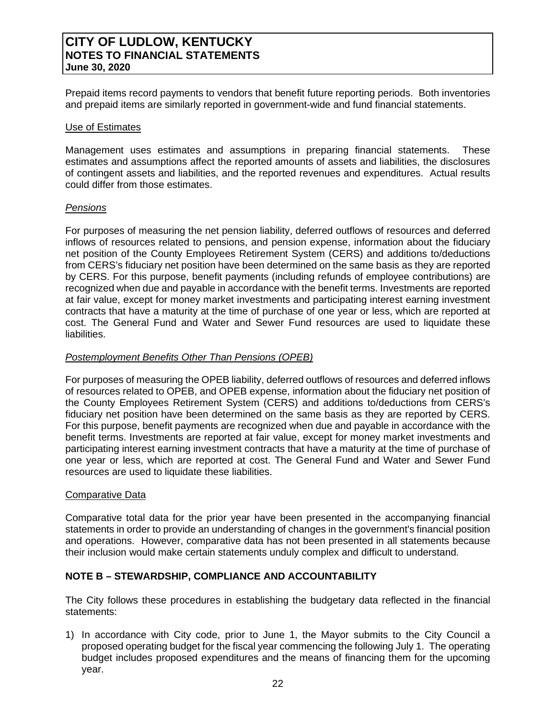Prepaid items record payments to vendors that benefit future reporting periods. Both inventories and prepaid items are similarly reported in government-wide and fund financial statements.

#### Use of Estimates

Management uses estimates and assumptions in preparing financial statements. These estimates and assumptions affect the reported amounts of assets and liabilities, the disclosures of contingent assets and liabilities, and the reported revenues and expenditures. Actual results could differ from those estimates.

#### *Pensions*

For purposes of measuring the net pension liability, deferred outflows of resources and deferred inflows of resources related to pensions, and pension expense, information about the fiduciary net position of the County Employees Retirement System (CERS) and additions to/deductions from CERS's fiduciary net position have been determined on the same basis as they are reported by CERS. For this purpose, benefit payments (including refunds of employee contributions) are recognized when due and payable in accordance with the benefit terms. Investments are reported at fair value, except for money market investments and participating interest earning investment contracts that have a maturity at the time of purchase of one year or less, which are reported at cost. The General Fund and Water and Sewer Fund resources are used to liquidate these liabilities.

#### *Postemployment Benefits Other Than Pensions (OPEB)*

For purposes of measuring the OPEB liability, deferred outflows of resources and deferred inflows of resources related to OPEB, and OPEB expense, information about the fiduciary net position of the County Employees Retirement System (CERS) and additions to/deductions from CERS's fiduciary net position have been determined on the same basis as they are reported by CERS. For this purpose, benefit payments are recognized when due and payable in accordance with the benefit terms. Investments are reported at fair value, except for money market investments and participating interest earning investment contracts that have a maturity at the time of purchase of one year or less, which are reported at cost. The General Fund and Water and Sewer Fund resources are used to liquidate these liabilities.

#### Comparative Data

Comparative total data for the prior year have been presented in the accompanying financial statements in order to provide an understanding of changes in the government's financial position and operations. However, comparative data has not been presented in all statements because their inclusion would make certain statements unduly complex and difficult to understand.

# **NOTE B – STEWARDSHIP, COMPLIANCE AND ACCOUNTABILITY**

The City follows these procedures in establishing the budgetary data reflected in the financial statements:

1) In accordance with City code, prior to June 1, the Mayor submits to the City Council a proposed operating budget for the fiscal year commencing the following July 1. The operating budget includes proposed expenditures and the means of financing them for the upcoming year.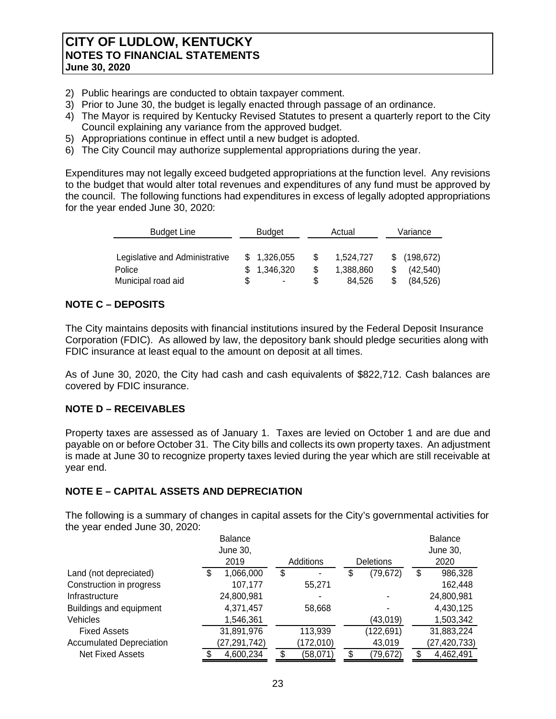- 2) Public hearings are conducted to obtain taxpayer comment.
- 3) Prior to June 30, the budget is legally enacted through passage of an ordinance.
- 4) The Mayor is required by Kentucky Revised Statutes to present a quarterly report to the City Council explaining any variance from the approved budget.
- 5) Appropriations continue in effect until a new budget is adopted.
- 6) The City Council may authorize supplemental appropriations during the year.

Expenditures may not legally exceed budgeted appropriations at the function level. Any revisions to the budget that would alter total revenues and expenditures of any fund must be approved by the council. The following functions had expenditures in excess of legally adopted appropriations for the year ended June 30, 2020:

| <b>Budget Line</b>             |    | <b>Budget</b> |    | Actual    |     | Variance   |  |  |
|--------------------------------|----|---------------|----|-----------|-----|------------|--|--|
|                                |    |               |    |           |     |            |  |  |
| Legislative and Administrative |    | \$1,326,055   | S  | 1,524,727 | SS. | (198, 672) |  |  |
| Police                         |    | \$1,346,320   | \$ | 1,388,860 |     | (42, 540)  |  |  |
| Municipal road aid             | \$ |               | S  | 84.526    |     | (84, 526)  |  |  |

# **NOTE C – DEPOSITS**

The City maintains deposits with financial institutions insured by the Federal Deposit Insurance Corporation (FDIC). As allowed by law, the depository bank should pledge securities along with FDIC insurance at least equal to the amount on deposit at all times.

As of June 30, 2020, the City had cash and cash equivalents of \$822,712. Cash balances are covered by FDIC insurance.

# **NOTE D – RECEIVABLES**

Property taxes are assessed as of January 1. Taxes are levied on October 1 and are due and payable on or before October 31. The City bills and collects its own property taxes. An adjustment is made at June 30 to recognize property taxes levied during the year which are still receivable at year end.

# **NOTE E – CAPITAL ASSETS AND DEPRECIATION**

The following is a summary of changes in capital assets for the City's governmental activities for the year ended June 30, 2020:

|                                 |    | <b>Balance</b> |                |                  | <b>Balance</b>  |
|---------------------------------|----|----------------|----------------|------------------|-----------------|
|                                 |    | June 30,       |                |                  | June 30,        |
|                                 |    | 2019           | Additions      | <b>Deletions</b> | 2020            |
| Land (not depreciated)          | \$ | 1,066,000      | \$<br>-        | \$<br>(79, 672)  | \$<br>986,328   |
| Construction in progress        |    | 107,177        | 55,271         |                  | 162,448         |
| Infrastructure                  |    | 24,800,981     |                |                  | 24,800,981      |
| Buildings and equipment         |    | 4,371,457      | 58,668         |                  | 4,430,125       |
| Vehicles                        |    | 1,546,361      |                | (43,019)         | 1,503,342       |
| <b>Fixed Assets</b>             |    | 31,891,976     | 113,939        | (122, 691)       | 31,883,224      |
| <b>Accumulated Depreciation</b> |    | (27,291,742)   | (172,010)      | 43,019           | (27, 420, 733)  |
| <b>Net Fixed Assets</b>         | S  | 4,600,234      | \$<br>(58,071) | \$<br>(79, 672)  | \$<br>4,462,491 |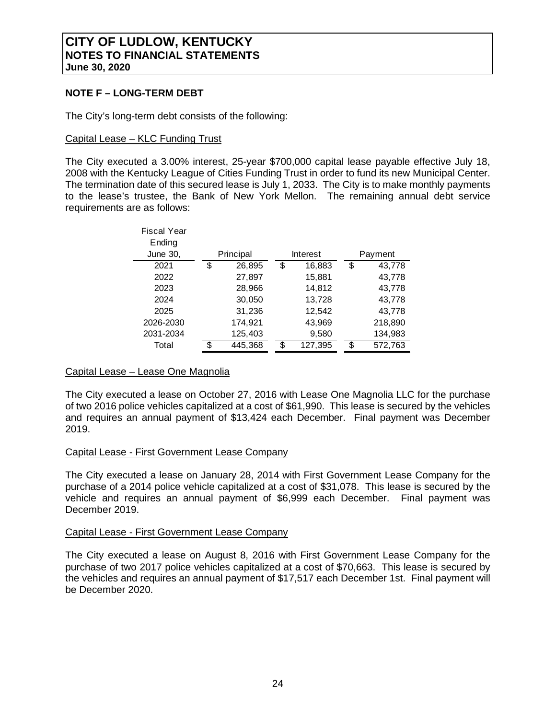#### **NOTE F – LONG-TERM DEBT**

The City's long-term debt consists of the following:

#### Capital Lease – KLC Funding Trust

The City executed a 3.00% interest, 25-year \$700,000 capital lease payable effective July 18, 2008 with the Kentucky League of Cities Funding Trust in order to fund its new Municipal Center. The termination date of this secured lease is July 1, 2033. The City is to make monthly payments to the lease's trustee, the Bank of New York Mellon. The remaining annual debt service requirements are as follows:

| <b>Fiscal Year</b> |               |               |     |         |
|--------------------|---------------|---------------|-----|---------|
| Ending             |               |               |     |         |
| June 30,           | Principal     | Interest      |     | Payment |
| 2021               | \$<br>26,895  | \$<br>16,883  | \$  | 43,778  |
| 2022               | 27,897        | 15,881        |     | 43,778  |
| 2023               | 28,966        | 14,812        |     | 43,778  |
| 2024               | 30,050        | 13,728        |     | 43,778  |
| 2025               | 31,236        | 12,542        |     | 43,778  |
| 2026-2030          | 174,921       | 43,969        |     | 218,890 |
| 2031-2034          | 125,403       | 9,580         |     | 134,983 |
| Total              | \$<br>445,368 | \$<br>127,395 | \$. | 572,763 |

# Capital Lease – Lease One Magnolia

The City executed a lease on October 27, 2016 with Lease One Magnolia LLC for the purchase of two 2016 police vehicles capitalized at a cost of \$61,990. This lease is secured by the vehicles and requires an annual payment of \$13,424 each December. Final payment was December 2019.

#### Capital Lease - First Government Lease Company

The City executed a lease on January 28, 2014 with First Government Lease Company for the purchase of a 2014 police vehicle capitalized at a cost of \$31,078. This lease is secured by the vehicle and requires an annual payment of \$6,999 each December. Final payment was December 2019.

#### Capital Lease - First Government Lease Company

The City executed a lease on August 8, 2016 with First Government Lease Company for the purchase of two 2017 police vehicles capitalized at a cost of \$70,663. This lease is secured by the vehicles and requires an annual payment of \$17,517 each December 1st. Final payment will be December 2020.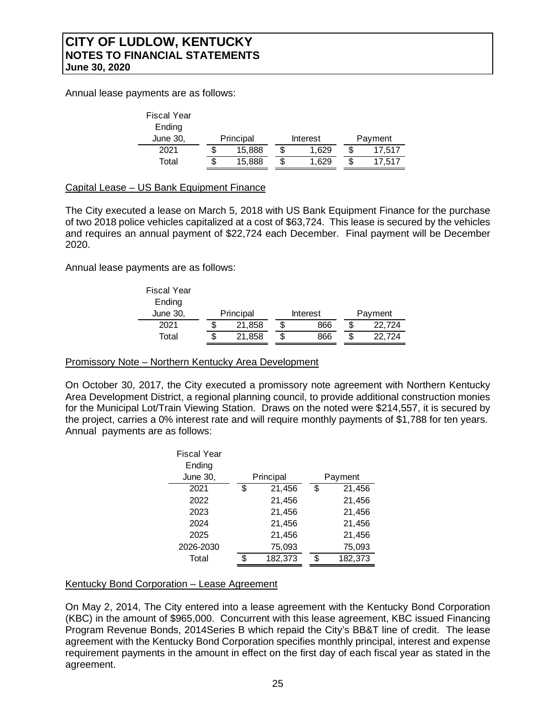Annual lease payments are as follows:

| <b>Fiscal Year</b> |           |   |          |         |
|--------------------|-----------|---|----------|---------|
| Ending             |           |   |          |         |
| June 30,           | Principal |   | Interest | Payment |
| 2021               | 15,888    | S | 1.629    | 17.517  |
| Total              | 15.888    | S | 1.629    | 17.517  |

# Capital Lease – US Bank Equipment Finance

The City executed a lease on March 5, 2018 with US Bank Equipment Finance for the purchase of two 2018 police vehicles capitalized at a cost of \$63,724. This lease is secured by the vehicles and requires an annual payment of \$22,724 each December. Final payment will be December 2020.

Annual lease payments are as follows:

| <b>Fiscal Year</b> |           |   |          |         |
|--------------------|-----------|---|----------|---------|
| Ending             |           |   |          |         |
| June 30,           | Principal |   | Interest | Payment |
| 2021               | 21,858    | S | 866      | 22.724  |
| Total              | 21,858    |   | 866      | 22.724  |

#### Promissory Note – Northern Kentucky Area Development

On October 30, 2017, the City executed a promissory note agreement with Northern Kentucky Area Development District, a regional planning council, to provide additional construction monies for the Municipal Lot/Train Viewing Station. Draws on the noted were \$214,557, it is secured by the project, carries a 0% interest rate and will require monthly payments of \$1,788 for ten years. Annual payments are as follows:

| <b>Fiscal Year</b> |   |           |    |         |
|--------------------|---|-----------|----|---------|
| Ending             |   |           |    |         |
| <b>June 30,</b>    |   | Principal |    | Payment |
| 2021               | S | 21,456    | \$ | 21,456  |
| 2022               |   | 21,456    |    | 21,456  |
| 2023               |   | 21,456    |    | 21,456  |
| 2024               |   | 21,456    |    | 21,456  |
| 2025               |   | 21,456    |    | 21,456  |
| 2026-2030          |   | 75,093    |    | 75,093  |
| Total              | œ | 182,373   | S. | 182,373 |

# Kentucky Bond Corporation – Lease Agreement

On May 2, 2014, The City entered into a lease agreement with the Kentucky Bond Corporation (KBC) in the amount of \$965,000. Concurrent with this lease agreement, KBC issued Financing Program Revenue Bonds, 2014Series B which repaid the City's BB&T line of credit. The lease agreement with the Kentucky Bond Corporation specifies monthly principal, interest and expense requirement payments in the amount in effect on the first day of each fiscal year as stated in the agreement.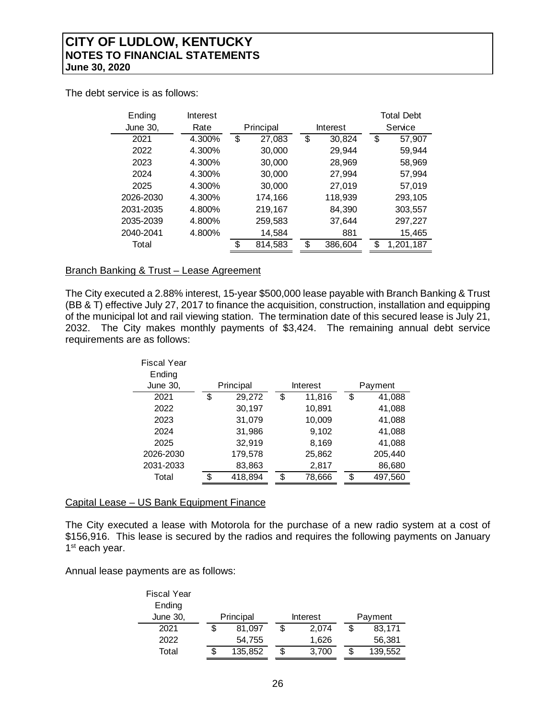The debt service is as follows:

| Ending          | Interest |     |           |     |          |    | <b>Total Debt</b> |
|-----------------|----------|-----|-----------|-----|----------|----|-------------------|
| <b>June 30,</b> | Rate     |     | Principal |     | Interest |    | Service           |
| 2021            | 4.300%   | \$  | 27,083    | \$  | 30,824   | \$ | 57,907            |
| 2022            | 4.300%   |     | 30,000    |     | 29,944   |    | 59,944            |
| 2023            | 4.300%   |     | 30,000    |     | 28,969   |    | 58,969            |
| 2024            | 4.300%   |     | 30,000    |     | 27,994   |    | 57,994            |
| 2025            | 4.300%   |     | 30,000    |     | 27,019   |    | 57,019            |
| 2026-2030       | 4.300%   |     | 174,166   |     | 118,939  |    | 293,105           |
| 2031-2035       | 4.800%   |     | 219,167   |     | 84,390   |    | 303,557           |
| 2035-2039       | 4.800%   |     | 259,583   |     | 37,644   |    | 297,227           |
| 2040-2041       | 4.800%   |     | 14,584    |     | 881      |    | 15,465            |
| Total           |          | \$. | 814,583   | \$. | 386,604  | £. | 1,201,187         |
|                 |          |     |           |     |          |    |                   |

#### Branch Banking & Trust – Lease Agreement

The City executed a 2.88% interest, 15-year \$500,000 lease payable with Branch Banking & Trust (BB & T) effective July 27, 2017 to finance the acquisition, construction, installation and equipping of the municipal lot and rail viewing station. The termination date of this secured lease is July 21, 2032. The City makes monthly payments of \$3,424. The remaining annual debt service requirements are as follows:

| Fiscal Year<br>Ending |   |           |    |          |    |         |
|-----------------------|---|-----------|----|----------|----|---------|
| June 30,              |   | Principal |    | Interest |    | Payment |
| 2021                  | S | 29,272    | \$ | 11,816   | \$ | 41,088  |
| 2022                  |   | 30,197    |    | 10,891   |    | 41,088  |
| 2023                  |   | 31,079    |    | 10,009   |    | 41,088  |
| 2024                  |   | 31,986    |    | 9,102    |    | 41,088  |
| 2025                  |   | 32,919    |    | 8,169    |    | 41,088  |
| 2026-2030             |   | 179,578   |    | 25,862   |    | 205,440 |
| 2031-2033             |   | 83,863    |    | 2,817    |    | 86,680  |
| Total                 | ፍ | 418,894   | ዳ  | 78,666   | Я  | 497,560 |

#### Capital Lease – US Bank Equipment Finance

The City executed a lease with Motorola for the purchase of a new radio system at a cost of \$156,916. This lease is secured by the radios and requires the following payments on January 1<sup>st</sup> each year.

Annual lease payments are as follows:

| <b>Fiscal Year</b> |   |                       |  |       |              |
|--------------------|---|-----------------------|--|-------|--------------|
| Ending             |   |                       |  |       |              |
| June 30,           |   | Principal<br>Interest |  |       | Payment      |
| 2021               |   | 81.097                |  | 2,074 | \$<br>83,171 |
| 2022               |   | 54,755                |  | 1,626 | 56,381       |
| Total              | S | 135,852               |  | 3,700 | 139,552      |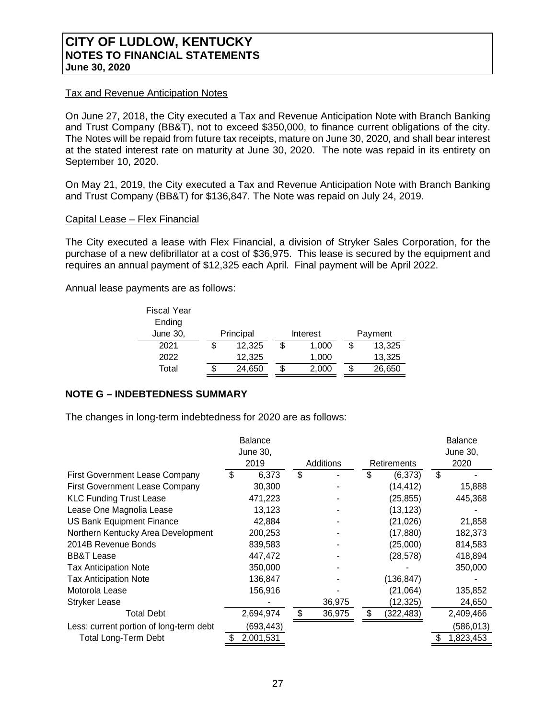#### Tax and Revenue Anticipation Notes

On June 27, 2018, the City executed a Tax and Revenue Anticipation Note with Branch Banking and Trust Company (BB&T), not to exceed \$350,000, to finance current obligations of the city. The Notes will be repaid from future tax receipts, mature on June 30, 2020, and shall bear interest at the stated interest rate on maturity at June 30, 2020. The note was repaid in its entirety on September 10, 2020.

On May 21, 2019, the City executed a Tax and Revenue Anticipation Note with Branch Banking and Trust Company (BB&T) for \$136,847. The Note was repaid on July 24, 2019.

#### Capital Lease – Flex Financial

The City executed a lease with Flex Financial, a division of Stryker Sales Corporation, for the purchase of a new defibrillator at a cost of \$36,975. This lease is secured by the equipment and requires an annual payment of \$12,325 each April. Final payment will be April 2022.

Annual lease payments are as follows:

| <b>Fiscal Year</b><br>Ending |    |           |          |    |         |
|------------------------------|----|-----------|----------|----|---------|
| June 30,                     |    | Principal | Interest |    | Payment |
| 2021                         | \$ | 12.325    | 1,000    | S  | 13,325  |
| 2022                         |    | 12.325    | 1,000    |    | 13,325  |
| Total                        | S  | 24,650    | 2,000    | \$ | 26,650  |

# **NOTE G – INDEBTEDNESS SUMMARY**

The changes in long-term indebtedness for 2020 are as follows:

|                                         | <b>Balance</b><br>June 30, |                  |                    | <b>Balance</b><br>June 30, |
|-----------------------------------------|----------------------------|------------------|--------------------|----------------------------|
|                                         | 2019                       | <b>Additions</b> | <b>Retirements</b> | 2020                       |
| <b>First Government Lease Company</b>   | \$<br>6,373                | \$               | \$<br>(6,373)      | \$                         |
| <b>First Government Lease Company</b>   | 30,300                     |                  | (14, 412)          | 15,888                     |
| <b>KLC Funding Trust Lease</b>          | 471,223                    |                  | (25, 855)          | 445,368                    |
| Lease One Magnolia Lease                | 13,123                     |                  | (13, 123)          |                            |
| <b>US Bank Equipment Finance</b>        | 42,884                     |                  | (21, 026)          | 21,858                     |
| Northern Kentucky Area Development      | 200,253                    |                  | (17, 880)          | 182,373                    |
| 2014B Revenue Bonds                     | 839,583                    |                  | (25,000)           | 814,583                    |
| <b>BB&amp;T Lease</b>                   | 447,472                    |                  | (28, 578)          | 418,894                    |
| <b>Tax Anticipation Note</b>            | 350,000                    |                  |                    | 350,000                    |
| <b>Tax Anticipation Note</b>            | 136,847                    |                  | (136, 847)         |                            |
| Motorola Lease                          | 156,916                    |                  | (21,064)           | 135,852                    |
| <b>Stryker Lease</b>                    |                            | 36,975           | (12, 325)          | 24,650                     |
| <b>Total Debt</b>                       | 2,694,974                  | 36,975           | (322,483)          | 2,409,466                  |
| Less: current portion of long-term debt | (693, 443)                 |                  |                    | (586,013)                  |
| <b>Total Long-Term Debt</b>             | 2,001,531                  |                  |                    | 1,823,453                  |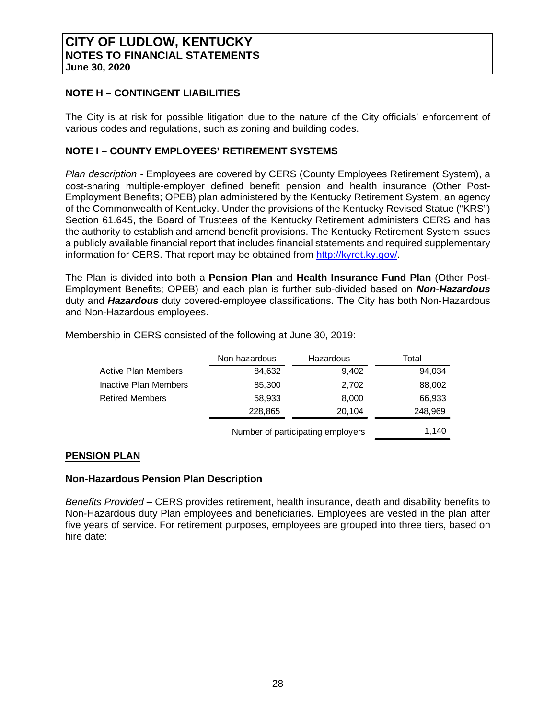#### **NOTE H – CONTINGENT LIABILITIES**

The City is at risk for possible litigation due to the nature of the City officials' enforcement of various codes and regulations, such as zoning and building codes.

#### **NOTE I – COUNTY EMPLOYEES' RETIREMENT SYSTEMS**

*Plan description -* Employees are covered by CERS (County Employees Retirement System), a cost-sharing multiple-employer defined benefit pension and health insurance (Other Post-Employment Benefits; OPEB) plan administered by the Kentucky Retirement System, an agency of the Commonwealth of Kentucky. Under the provisions of the Kentucky Revised Statue ("KRS") Section 61.645, the Board of Trustees of the Kentucky Retirement administers CERS and has the authority to establish and amend benefit provisions. The Kentucky Retirement System issues a publicly available financial report that includes financial statements and required supplementary information for CERS. That report may be obtained from http://kyret.ky.gov/.

The Plan is divided into both a **Pension Plan** and **Health Insurance Fund Plan** (Other Post-Employment Benefits; OPEB) and each plan is further sub-divided based on *Non-Hazardous* duty and *Hazardous* duty covered-employee classifications. The City has both Non-Hazardous and Non-Hazardous employees.

|                            | Non-hazardous | Hazardous                         | Total   |
|----------------------------|---------------|-----------------------------------|---------|
| <b>Active Plan Members</b> | 84,632        | 9,402                             | 94,034  |
| Inactive Plan Members      | 85,300        | 2,702                             | 88,002  |
| <b>Retired Members</b>     | 58,933        | 8.000                             | 66,933  |
|                            | 228,865       | 20,104                            | 248,969 |
|                            |               | Number of participating employers | 1.140   |

Membership in CERS consisted of the following at June 30, 2019:

# **PENSION PLAN**

#### **Non-Hazardous Pension Plan Description**

*Benefits Provided –* CERS provides retirement, health insurance, death and disability benefits to Non-Hazardous duty Plan employees and beneficiaries. Employees are vested in the plan after five years of service. For retirement purposes, employees are grouped into three tiers, based on hire date: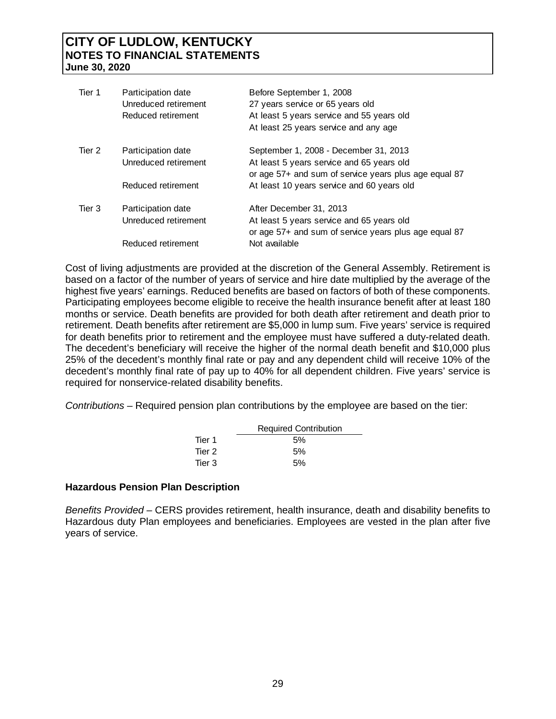| Tier 1 | Participation date<br>Unreduced retirement<br>Reduced retirement | Before September 1, 2008<br>27 years service or 65 years old<br>At least 5 years service and 55 years old<br>At least 25 years service and any age |
|--------|------------------------------------------------------------------|----------------------------------------------------------------------------------------------------------------------------------------------------|
| Tier 2 | Participation date<br>Unreduced retirement                       | September 1, 2008 - December 31, 2013<br>At least 5 years service and 65 years old<br>or age 57+ and sum of service years plus age equal 87        |
|        | Reduced retirement                                               | At least 10 years service and 60 years old                                                                                                         |
| Tier 3 | Participation date                                               | After December 31, 2013                                                                                                                            |
|        | Unreduced retirement                                             | At least 5 years service and 65 years old                                                                                                          |
|        |                                                                  | or age 57+ and sum of service years plus age equal 87                                                                                              |
|        | Reduced retirement                                               | Not available                                                                                                                                      |

Cost of living adjustments are provided at the discretion of the General Assembly. Retirement is based on a factor of the number of years of service and hire date multiplied by the average of the highest five years' earnings. Reduced benefits are based on factors of both of these components. Participating employees become eligible to receive the health insurance benefit after at least 180 months or service. Death benefits are provided for both death after retirement and death prior to retirement. Death benefits after retirement are \$5,000 in lump sum. Five years' service is required for death benefits prior to retirement and the employee must have suffered a duty-related death. The decedent's beneficiary will receive the higher of the normal death benefit and \$10,000 plus 25% of the decedent's monthly final rate or pay and any dependent child will receive 10% of the decedent's monthly final rate of pay up to 40% for all dependent children. Five years' service is required for nonservice-related disability benefits.

*Contributions –* Required pension plan contributions by the employee are based on the tier:

|        | <b>Required Contribution</b> |  |
|--------|------------------------------|--|
| Tier 1 | 5%                           |  |
| Tier 2 | 5%                           |  |
| Tier 3 | 5%                           |  |

# **Hazardous Pension Plan Description**

*Benefits Provided –* CERS provides retirement, health insurance, death and disability benefits to Hazardous duty Plan employees and beneficiaries. Employees are vested in the plan after five years of service.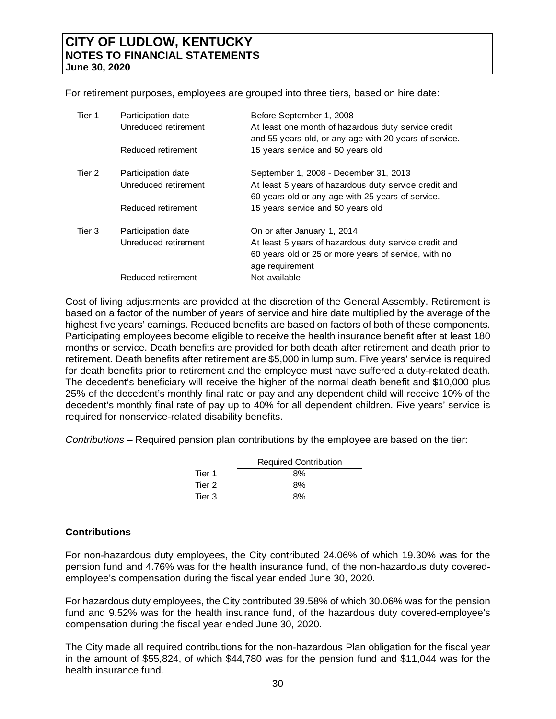For retirement purposes, employees are grouped into three tiers, based on hire date:

| Tier 1 | Participation date<br>Unreduced retirement<br>Reduced retirement | Before September 1, 2008<br>At least one month of hazardous duty service credit<br>and 55 years old, or any age with 20 years of service.<br>15 years service and 50 years old |
|--------|------------------------------------------------------------------|--------------------------------------------------------------------------------------------------------------------------------------------------------------------------------|
| Tier 2 | Participation date<br>Unreduced retirement                       | September 1, 2008 - December 31, 2013<br>At least 5 years of hazardous duty service credit and<br>60 years old or any age with 25 years of service.                            |
|        | Reduced retirement                                               | 15 years service and 50 years old                                                                                                                                              |
| Tier 3 | Participation date<br>Unreduced retirement                       | On or after January 1, 2014<br>At least 5 years of hazardous duty service credit and<br>60 years old or 25 or more years of service, with no<br>age requirement                |
|        | Reduced retirement                                               | Not available                                                                                                                                                                  |

Cost of living adjustments are provided at the discretion of the General Assembly. Retirement is based on a factor of the number of years of service and hire date multiplied by the average of the highest five years' earnings. Reduced benefits are based on factors of both of these components. Participating employees become eligible to receive the health insurance benefit after at least 180 months or service. Death benefits are provided for both death after retirement and death prior to retirement. Death benefits after retirement are \$5,000 in lump sum. Five years' service is required for death benefits prior to retirement and the employee must have suffered a duty-related death. The decedent's beneficiary will receive the higher of the normal death benefit and \$10,000 plus 25% of the decedent's monthly final rate or pay and any dependent child will receive 10% of the decedent's monthly final rate of pay up to 40% for all dependent children. Five years' service is required for nonservice-related disability benefits.

*Contributions –* Required pension plan contributions by the employee are based on the tier:

|        | <b>Required Contribution</b> |
|--------|------------------------------|
| Tier 1 | 8%                           |
| Tier 2 | 8%                           |
| Tier 3 | 8%                           |

# **Contributions**

For non-hazardous duty employees, the City contributed 24.06% of which 19.30% was for the pension fund and 4.76% was for the health insurance fund, of the non-hazardous duty coveredemployee's compensation during the fiscal year ended June 30, 2020.

For hazardous duty employees, the City contributed 39.58% of which 30.06% was for the pension fund and 9.52% was for the health insurance fund, of the hazardous duty covered-employee's compensation during the fiscal year ended June 30, 2020.

The City made all required contributions for the non-hazardous Plan obligation for the fiscal year in the amount of \$55,824, of which \$44,780 was for the pension fund and \$11,044 was for the health insurance fund.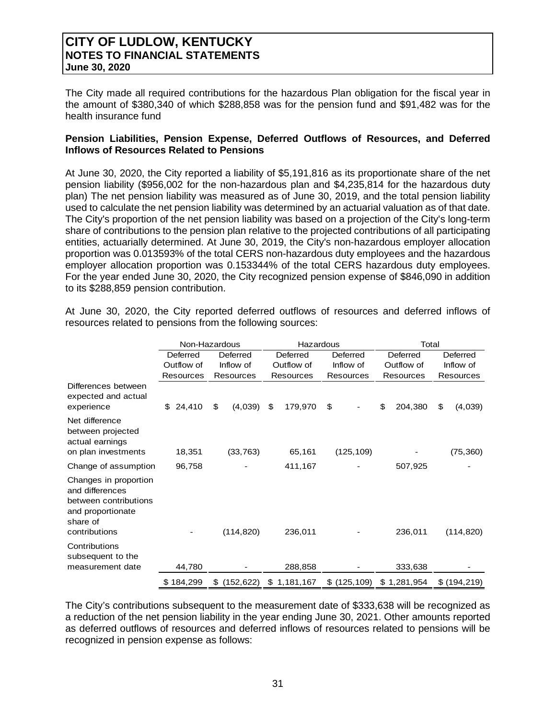The City made all required contributions for the hazardous Plan obligation for the fiscal year in the amount of \$380,340 of which \$288,858 was for the pension fund and \$91,482 was for the health insurance fund

#### **Pension Liabilities, Pension Expense, Deferred Outflows of Resources, and Deferred Inflows of Resources Related to Pensions**

At June 30, 2020, the City reported a liability of \$5,191,816 as its proportionate share of the net pension liability (\$956,002 for the non-hazardous plan and \$4,235,814 for the hazardous duty plan) The net pension liability was measured as of June 30, 2019, and the total pension liability used to calculate the net pension liability was determined by an actuarial valuation as of that date. The City's proportion of the net pension liability was based on a projection of the City's long-term share of contributions to the pension plan relative to the projected contributions of all participating entities, actuarially determined. At June 30, 2019, the City's non-hazardous employer allocation proportion was 0.013593% of the total CERS non-hazardous duty employees and the hazardous employer allocation proportion was 0.153344% of the total CERS hazardous duty employees. For the year ended June 30, 2020, the City recognized pension expense of \$846,090 in addition to its \$288,859 pension contribution.

|                                                                                                                     | Non-Hazardous |               | Hazardous               |              | Total         |                  |  |
|---------------------------------------------------------------------------------------------------------------------|---------------|---------------|-------------------------|--------------|---------------|------------------|--|
|                                                                                                                     | Deferred      | Deferred      | Deferred<br>Deferred    |              | Deferred      | Deferred         |  |
|                                                                                                                     | Outflow of    | Inflow of     | Outflow of<br>Inflow of |              | Outflow of    | Inflow of        |  |
|                                                                                                                     | Resources     | Resources     | Resources               | Resources    | Resources     | <b>Resources</b> |  |
| Differences between<br>expected and actual<br>experience                                                            | \$<br>24,410  | (4,039)<br>\$ | 179,970<br>\$           | \$           | \$<br>204,380 | (4,039)<br>\$    |  |
| Net difference<br>between projected<br>actual earnings                                                              |               |               |                         |              |               |                  |  |
| on plan investments                                                                                                 | 18,351        | (33, 763)     | 65,161                  | (125, 109)   |               | (75, 360)        |  |
| Change of assumption                                                                                                | 96,758        |               | 411,167                 |              | 507,925       |                  |  |
| Changes in proportion<br>and differences<br>between contributions<br>and proportionate<br>share of<br>contributions |               | (114, 820)    | 236,011                 |              | 236,011       | (114, 820)       |  |
|                                                                                                                     |               |               |                         |              |               |                  |  |
| Contributions<br>subsequent to the<br>measurement date                                                              | 44,780        |               | 288,858                 |              | 333,638       |                  |  |
|                                                                                                                     | \$184,299     | \$(152, 622)  | \$1,181,167             | \$(125, 109) | \$1,281,954   | \$(194,219)      |  |

At June 30, 2020, the City reported deferred outflows of resources and deferred inflows of resources related to pensions from the following sources:

The City's contributions subsequent to the measurement date of \$333,638 will be recognized as a reduction of the net pension liability in the year ending June 30, 2021. Other amounts reported as deferred outflows of resources and deferred inflows of resources related to pensions will be recognized in pension expense as follows: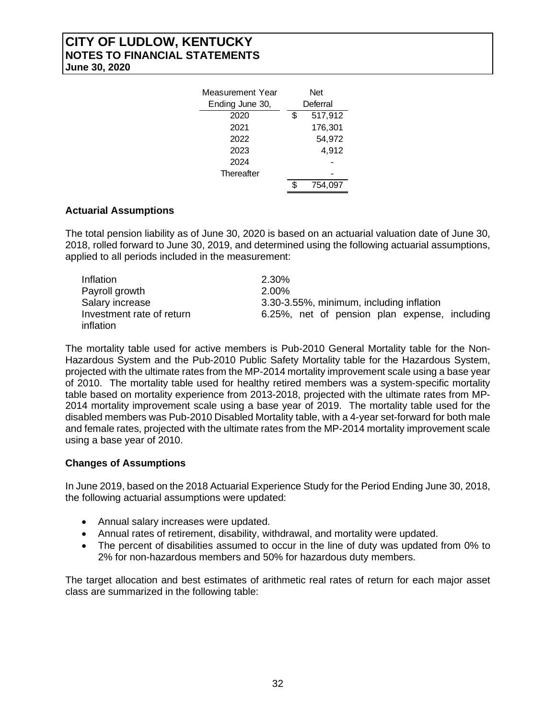| Measurement Year | Net |          |  |
|------------------|-----|----------|--|
| Ending June 30,  |     | Deferral |  |
| 2020             | \$  | 517,912  |  |
| 2021             |     | 176,301  |  |
| 2022             |     | 54,972   |  |
| 2023             |     | 4,912    |  |
| 2024             |     |          |  |
| Thereafter       |     |          |  |
|                  |     | 754.097  |  |

# **Actuarial Assumptions**

The total pension liability as of June 30, 2020 is based on an actuarial valuation date of June 30, 2018, rolled forward to June 30, 2019, and determined using the following actuarial assumptions, applied to all periods included in the measurement:

| <b>Inflation</b>          | 2.30%                                         |
|---------------------------|-----------------------------------------------|
| Payroll growth            | $2.00\%$                                      |
| Salary increase           | 3.30-3.55%, minimum, including inflation      |
| Investment rate of return | 6.25%, net of pension plan expense, including |
| inflation                 |                                               |

The mortality table used for active members is Pub-2010 General Mortality table for the Non-Hazardous System and the Pub-2010 Public Safety Mortality table for the Hazardous System, projected with the ultimate rates from the MP-2014 mortality improvement scale using a base year of 2010. The mortality table used for healthy retired members was a system-specific mortality table based on mortality experience from 2013-2018, projected with the ultimate rates from MP-2014 mortality improvement scale using a base year of 2019. The mortality table used for the disabled members was Pub-2010 Disabled Mortality table, with a 4-year set-forward for both male and female rates, projected with the ultimate rates from the MP-2014 mortality improvement scale using a base year of 2010.

# **Changes of Assumptions**

In June 2019, based on the 2018 Actuarial Experience Study for the Period Ending June 30, 2018, the following actuarial assumptions were updated:

- Annual salary increases were updated.
- Annual rates of retirement, disability, withdrawal, and mortality were updated.
- The percent of disabilities assumed to occur in the line of duty was updated from 0% to 2% for non-hazardous members and 50% for hazardous duty members.

The target allocation and best estimates of arithmetic real rates of return for each major asset class are summarized in the following table: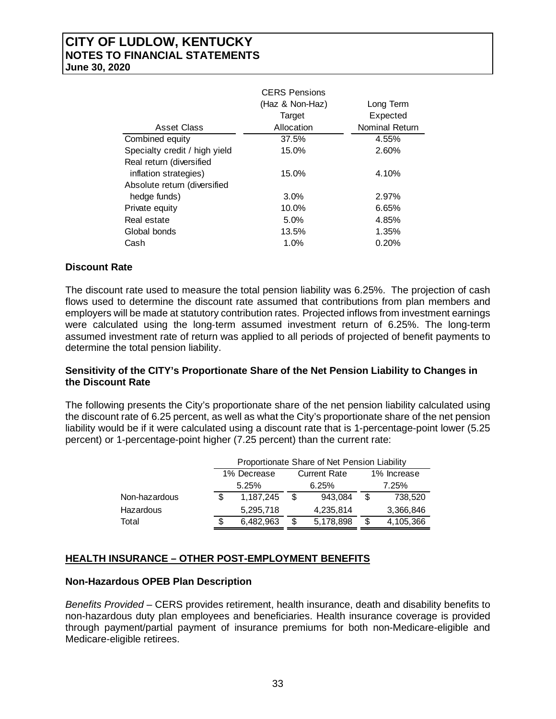|                               | <b>CERS Pensions</b> |                |
|-------------------------------|----------------------|----------------|
|                               | (Haz & Non-Haz)      | Long Term      |
|                               | Target               | Expected       |
| Asset Class                   | Allocation           | Nominal Return |
| Combined equity               | 37.5%                | 4.55%          |
| Specialty credit / high yield | 15.0%                | 2.60%          |
| Real return (diversified      |                      |                |
| inflation strategies)         | 15.0%                | 4.10%          |
| Absolute return (diversified  |                      |                |
| hedge funds)                  | 3.0%                 | 2.97%          |
| Private equity                | 10.0%                | 6.65%          |
| Real estate                   | 5.0%                 | 4.85%          |
| Global bonds                  | 13.5%                | 1.35%          |
| Cash                          | 1.0%                 | 0.20%          |

# **Discount Rate**

The discount rate used to measure the total pension liability was 6.25%. The projection of cash flows used to determine the discount rate assumed that contributions from plan members and employers will be made at statutory contribution rates. Projected inflows from investment earnings were calculated using the long-term assumed investment return of 6.25%. The long-term assumed investment rate of return was applied to all periods of projected of benefit payments to determine the total pension liability.

#### **Sensitivity of the CITY's Proportionate Share of the Net Pension Liability to Changes in the Discount Rate**

The following presents the City's proportionate share of the net pension liability calculated using the discount rate of 6.25 percent, as well as what the City's proportionate share of the net pension liability would be if it were calculated using a discount rate that is 1-percentage-point lower (5.25 percent) or 1-percentage-point higher (7.25 percent) than the current rate:

|               |    | Proportionate Share of Net Pension Liability |     |                     |   |             |  |
|---------------|----|----------------------------------------------|-----|---------------------|---|-------------|--|
|               |    | 1% Decrease                                  |     | <b>Current Rate</b> |   | 1% Increase |  |
|               |    | 5.25%                                        |     | 6.25%               |   | 7.25%       |  |
| Non-hazardous | \$ | 1,187,245                                    | \$. | 943.084             | S | 738,520     |  |
| Hazardous     |    | 5,295,718                                    |     | 4,235,814           |   | 3,366,846   |  |
| Total         | S  | 6,482,963                                    | S   | 5,178,898           |   | 4,105,366   |  |

# **HEALTH INSURANCE – OTHER POST-EMPLOYMENT BENEFITS**

# **Non-Hazardous OPEB Plan Description**

*Benefits Provided* – CERS provides retirement, health insurance, death and disability benefits to non-hazardous duty plan employees and beneficiaries. Health insurance coverage is provided through payment/partial payment of insurance premiums for both non-Medicare-eligible and Medicare-eligible retirees.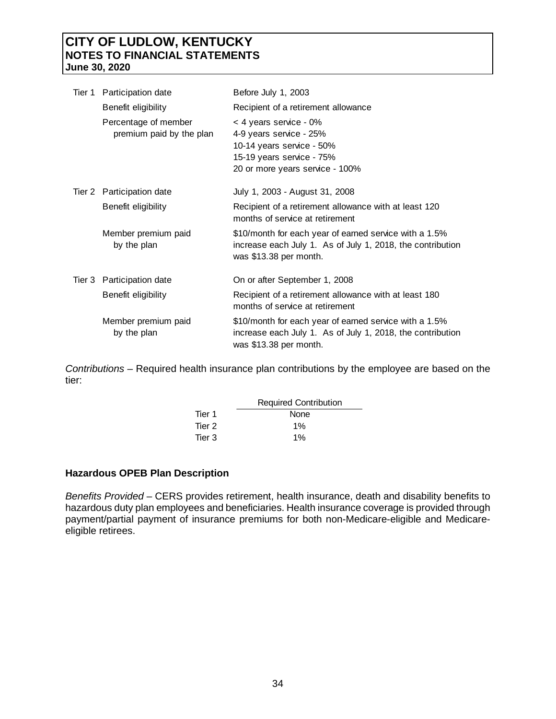| Tier 1 | Participation date                               | Before July 1, 2003                                                                                                                            |
|--------|--------------------------------------------------|------------------------------------------------------------------------------------------------------------------------------------------------|
|        | Benefit eligibility                              | Recipient of a retirement allowance                                                                                                            |
|        | Percentage of member<br>premium paid by the plan | < 4 years service - 0%<br>4-9 years service - 25%<br>10-14 years service - 50%<br>15-19 years service - 75%<br>20 or more years service - 100% |
|        | Tier 2 Participation date                        | July 1, 2003 - August 31, 2008                                                                                                                 |
|        | Benefit eligibility                              | Recipient of a retirement allowance with at least 120<br>months of service at retirement                                                       |
|        | Member premium paid<br>by the plan               | \$10/month for each year of earned service with a 1.5%<br>increase each July 1. As of July 1, 2018, the contribution<br>was \$13.38 per month. |
|        | Tier 3 Participation date                        | On or after September 1, 2008                                                                                                                  |
|        | Benefit eligibility                              | Recipient of a retirement allowance with at least 180<br>months of service at retirement                                                       |
|        | Member premium paid<br>by the plan               | \$10/month for each year of earned service with a 1.5%<br>increase each July 1. As of July 1, 2018, the contribution<br>was \$13.38 per month. |

*Contributions –* Required health insurance plan contributions by the employee are based on the tier:

|        | <b>Required Contribution</b> |  |
|--------|------------------------------|--|
| Tier 1 | None                         |  |
| Tier 2 | $1\%$                        |  |
| Tier 3 | $1\%$                        |  |

#### **Hazardous OPEB Plan Description**

*Benefits Provided* – CERS provides retirement, health insurance, death and disability benefits to hazardous duty plan employees and beneficiaries. Health insurance coverage is provided through payment/partial payment of insurance premiums for both non-Medicare-eligible and Medicareeligible retirees.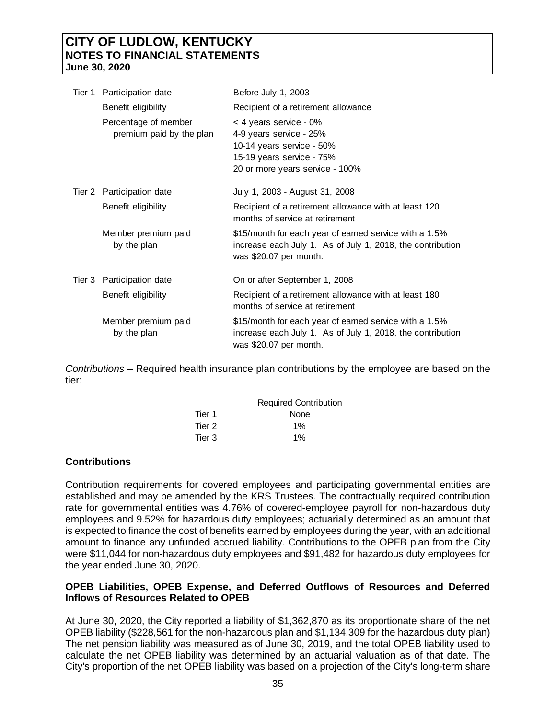| Tier 1 | Participation date                               | Before July 1, 2003                                                                                                                              |
|--------|--------------------------------------------------|--------------------------------------------------------------------------------------------------------------------------------------------------|
|        | Benefit eligibility                              | Recipient of a retirement allowance                                                                                                              |
|        | Percentage of member<br>premium paid by the plan | $<$ 4 years service - 0%<br>4-9 years service - 25%<br>10-14 years service - 50%<br>15-19 years service - 75%<br>20 or more years service - 100% |
|        | Tier 2 Participation date                        | July 1, 2003 - August 31, 2008                                                                                                                   |
|        | Benefit eligibility                              | Recipient of a retirement allowance with at least 120<br>months of service at retirement                                                         |
|        | Member premium paid<br>by the plan               | \$15/month for each year of earned service with a 1.5%<br>increase each July 1. As of July 1, 2018, the contribution<br>was \$20.07 per month.   |
|        | Tier 3 Participation date                        | On or after September 1, 2008                                                                                                                    |
|        | Benefit eligibility                              | Recipient of a retirement allowance with at least 180<br>months of service at retirement                                                         |
|        | Member premium paid<br>by the plan               | \$15/month for each year of earned service with a 1.5%<br>increase each July 1. As of July 1, 2018, the contribution<br>was \$20.07 per month.   |

*Contributions –* Required health insurance plan contributions by the employee are based on the tier:

|        | <b>Required Contribution</b> |
|--------|------------------------------|
| Tier 1 | None                         |
| Tier 2 | $1\%$                        |
| Tier 3 | 1%                           |

# **Contributions**

Contribution requirements for covered employees and participating governmental entities are established and may be amended by the KRS Trustees. The contractually required contribution rate for governmental entities was 4.76% of covered-employee payroll for non-hazardous duty employees and 9.52% for hazardous duty employees; actuarially determined as an amount that is expected to finance the cost of benefits earned by employees during the year, with an additional amount to finance any unfunded accrued liability. Contributions to the OPEB plan from the City were \$11,044 for non-hazardous duty employees and \$91,482 for hazardous duty employees for the year ended June 30, 2020.

#### **OPEB Liabilities, OPEB Expense, and Deferred Outflows of Resources and Deferred Inflows of Resources Related to OPEB**

At June 30, 2020, the City reported a liability of \$1,362,870 as its proportionate share of the net OPEB liability (\$228,561 for the non-hazardous plan and \$1,134,309 for the hazardous duty plan) The net pension liability was measured as of June 30, 2019, and the total OPEB liability used to calculate the net OPEB liability was determined by an actuarial valuation as of that date. The City's proportion of the net OPEB liability was based on a projection of the City's long-term share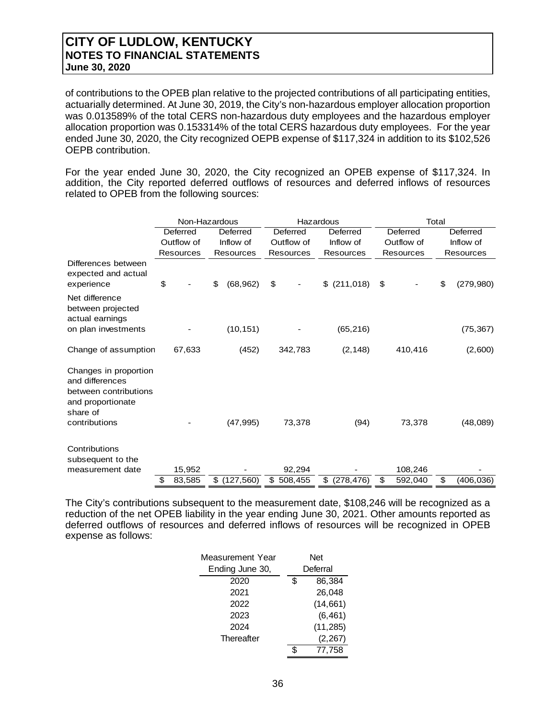of contributions to the OPEB plan relative to the projected contributions of all participating entities, actuarially determined. At June 30, 2019, the City's non-hazardous employer allocation proportion was 0.013589% of the total CERS non-hazardous duty employees and the hazardous employer allocation proportion was 0.153314% of the total CERS hazardous duty employees. For the year ended June 30, 2020, the City recognized OEPB expense of \$117,324 in addition to its \$102,526 OEPB contribution.

For the year ended June 30, 2020, the City recognized an OPEB expense of \$117,324. In addition, the City reported deferred outflows of resources and deferred inflows of resources related to OPEB from the following sources:

|                                                                                                                     |            | Non-Hazardous    |           |                  | Hazardous |            |    |               |    | Total      |    |           |  |  |  |
|---------------------------------------------------------------------------------------------------------------------|------------|------------------|-----------|------------------|-----------|------------|----|---------------|----|------------|----|-----------|--|--|--|
|                                                                                                                     |            | Deferred         |           | Deferred         |           | Deferred   |    | Deferred      |    | Deferred   |    | Deferred  |  |  |  |
|                                                                                                                     | Outflow of |                  | Inflow of |                  |           | Outflow of |    | Inflow of     |    | Outflow of |    | Inflow of |  |  |  |
|                                                                                                                     |            | <b>Resources</b> |           | <b>Resources</b> | Resources |            |    | Resources     |    | Resources  |    | Resources |  |  |  |
| Differences between<br>expected and actual<br>experience                                                            | \$         |                  | \$        | (68, 962)        | \$        |            |    | $$$ (211,018) | \$ |            | \$ | (279,980) |  |  |  |
| Net difference<br>between projected<br>actual earnings                                                              |            |                  |           |                  |           |            |    |               |    |            |    |           |  |  |  |
| on plan investments                                                                                                 |            |                  |           | (10, 151)        |           |            |    | (65, 216)     |    |            |    | (75, 367) |  |  |  |
| Change of assumption                                                                                                |            | 67,633           |           | (452)            |           | 342,783    |    | (2, 148)      |    | 410,416    |    | (2,600)   |  |  |  |
| Changes in proportion<br>and differences<br>between contributions<br>and proportionate<br>share of<br>contributions |            |                  |           | (47, 995)        |           | 73,378     |    | (94)          |    | 73,378     |    | (48,089)  |  |  |  |
| Contributions<br>subsequent to the                                                                                  |            |                  |           |                  |           |            |    |               |    |            |    |           |  |  |  |
| measurement date                                                                                                    |            | 15,952           |           |                  |           | 92,294     |    |               |    | 108,246    |    |           |  |  |  |
|                                                                                                                     | \$         | 83,585           | \$        | (127, 560)       | \$        | 508,455    | \$ | (278, 476)    | \$ | 592,040    | \$ | (406,036) |  |  |  |

The City's contributions subsequent to the measurement date, \$108,246 will be recognized as a reduction of the net OPEB liability in the year ending June 30, 2021. Other amounts reported as deferred outflows of resources and deferred inflows of resources will be recognized in OPEB expense as follows:

| Measurement Year | Net          |
|------------------|--------------|
| Ending June 30,  | Deferral     |
| 2020             | \$<br>86,384 |
| 2021             | 26,048       |
| 2022             | (14, 661)    |
| 2023             | (6, 461)     |
| 2024             | (11, 285)    |
| Thereafter       | (2, 267)     |
|                  | 77,758       |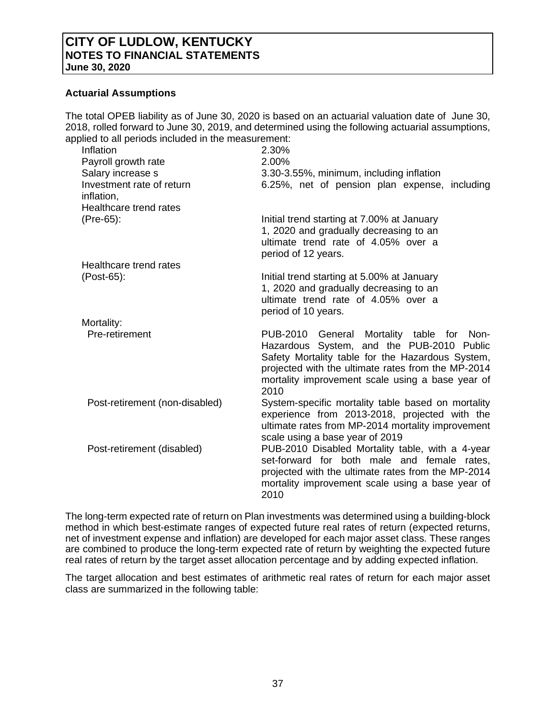#### **Actuarial Assumptions**

The total OPEB liability as of June 30, 2020 is based on an actuarial valuation date of June 30, 2018, rolled forward to June 30, 2019, and determined using the following actuarial assumptions, applied to all periods included in the measurement:

| Inflation                      | 2.30%                                                                                                                                                                                                                                                        |
|--------------------------------|--------------------------------------------------------------------------------------------------------------------------------------------------------------------------------------------------------------------------------------------------------------|
| Payroll growth rate            | 2.00%                                                                                                                                                                                                                                                        |
| Salary increase s              | 3.30-3.55%, minimum, including inflation                                                                                                                                                                                                                     |
| Investment rate of return      | 6.25%, net of pension plan expense, including                                                                                                                                                                                                                |
| inflation,                     |                                                                                                                                                                                                                                                              |
| Healthcare trend rates         |                                                                                                                                                                                                                                                              |
|                                |                                                                                                                                                                                                                                                              |
| (Pre-65):                      | Initial trend starting at 7.00% at January<br>1, 2020 and gradually decreasing to an<br>ultimate trend rate of 4.05% over a<br>period of 12 years.                                                                                                           |
| Healthcare trend rates         |                                                                                                                                                                                                                                                              |
| (Post-65):                     | Initial trend starting at 5.00% at January<br>1, 2020 and gradually decreasing to an<br>ultimate trend rate of 4.05% over a<br>period of 10 years.                                                                                                           |
| Mortality:                     |                                                                                                                                                                                                                                                              |
| Pre-retirement                 | PUB-2010 General Mortality table for Non-<br>Hazardous System, and the PUB-2010 Public<br>Safety Mortality table for the Hazardous System,<br>projected with the ultimate rates from the MP-2014<br>mortality improvement scale using a base year of<br>2010 |
| Post-retirement (non-disabled) | System-specific mortality table based on mortality<br>experience from 2013-2018, projected with the<br>ultimate rates from MP-2014 mortality improvement<br>scale using a base year of 2019                                                                  |
| Post-retirement (disabled)     | PUB-2010 Disabled Mortality table, with a 4-year<br>set-forward for both male and female rates,<br>projected with the ultimate rates from the MP-2014<br>mortality improvement scale using a base year of<br>2010                                            |

The long-term expected rate of return on Plan investments was determined using a building-block method in which best-estimate ranges of expected future real rates of return (expected returns, net of investment expense and inflation) are developed for each major asset class. These ranges are combined to produce the long-term expected rate of return by weighting the expected future real rates of return by the target asset allocation percentage and by adding expected inflation.

The target allocation and best estimates of arithmetic real rates of return for each major asset class are summarized in the following table: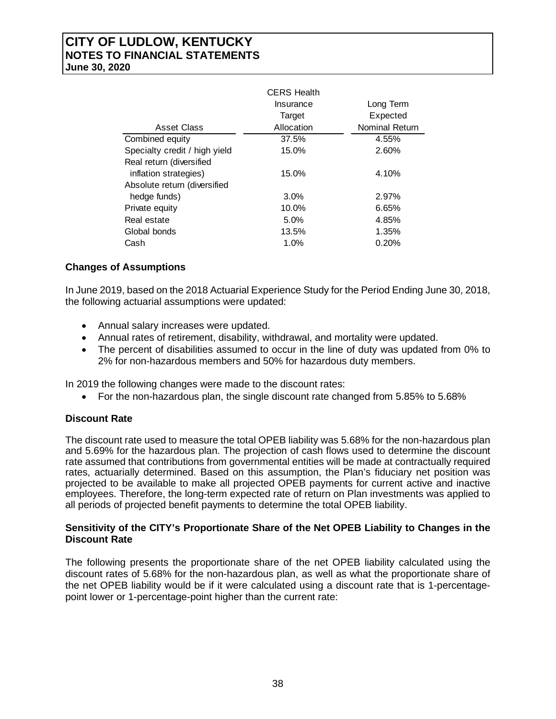| <b>CERS Health</b> |                       |
|--------------------|-----------------------|
| Insurance          | Long Term             |
| Target             | Expected              |
| Allocation         | <b>Nominal Return</b> |
| 37.5%              | 4.55%                 |
| 15.0%              | 2.60%                 |
|                    |                       |
| 15.0%              | 4.10%                 |
|                    |                       |
| 3.0%               | 2.97%                 |
| 10.0%              | 6.65%                 |
| 5.0%               | 4.85%                 |
| 13.5%              | 1.35%                 |
| 1.0%               | 0.20%                 |
|                    |                       |

# **Changes of Assumptions**

In June 2019, based on the 2018 Actuarial Experience Study for the Period Ending June 30, 2018, the following actuarial assumptions were updated:

- Annual salary increases were updated.
- Annual rates of retirement, disability, withdrawal, and mortality were updated.
- The percent of disabilities assumed to occur in the line of duty was updated from 0% to 2% for non-hazardous members and 50% for hazardous duty members.

In 2019 the following changes were made to the discount rates:

• For the non-hazardous plan, the single discount rate changed from 5.85% to 5.68%

# **Discount Rate**

The discount rate used to measure the total OPEB liability was 5.68% for the non-hazardous plan and 5.69% for the hazardous plan. The projection of cash flows used to determine the discount rate assumed that contributions from governmental entities will be made at contractually required rates, actuarially determined. Based on this assumption, the Plan's fiduciary net position was projected to be available to make all projected OPEB payments for current active and inactive employees. Therefore, the long-term expected rate of return on Plan investments was applied to all periods of projected benefit payments to determine the total OPEB liability.

# **Sensitivity of the CITY's Proportionate Share of the Net OPEB Liability to Changes in the Discount Rate**

The following presents the proportionate share of the net OPEB liability calculated using the discount rates of 5.68% for the non-hazardous plan, as well as what the proportionate share of the net OPEB liability would be if it were calculated using a discount rate that is 1-percentagepoint lower or 1-percentage-point higher than the current rate: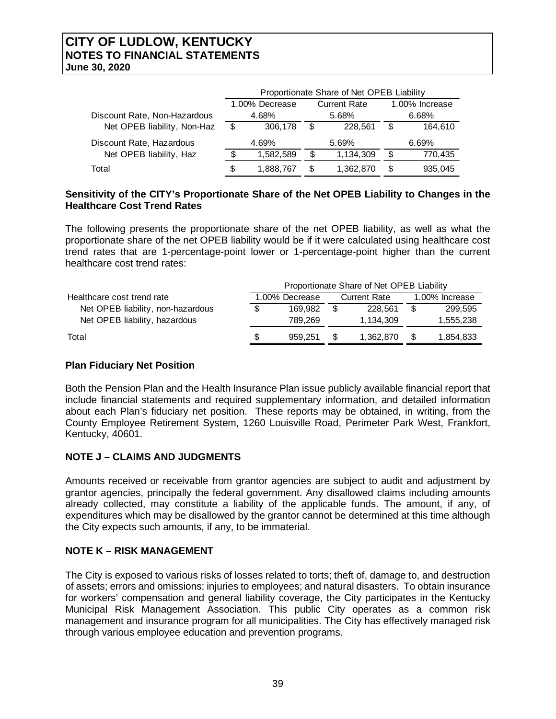|                              | Proportionate Share of Net OPEB Liability |                |                |           |       |         |  |  |  |  |
|------------------------------|-------------------------------------------|----------------|----------------|-----------|-------|---------|--|--|--|--|
|                              |                                           | 1.00% Decrease | 1.00% Increase |           |       |         |  |  |  |  |
| Discount Rate, Non-Hazardous |                                           | 4.68%          |                | 5.68%     | 6.68% |         |  |  |  |  |
| Net OPEB liability, Non-Haz  | \$                                        | 306.178        | S              | 228.561   | \$    | 164.610 |  |  |  |  |
| Discount Rate, Hazardous     |                                           | 4.69%<br>5.69% |                |           | 6.69% |         |  |  |  |  |
| Net OPEB liability, Haz      |                                           | 1,582,589      | \$             | 1,134,309 | \$    | 770,435 |  |  |  |  |
| Total                        | S                                         | 1,888,767      | S              | 1,362,870 | \$    | 935,045 |  |  |  |  |

#### **Sensitivity of the CITY's Proportionate Share of the Net OPEB Liability to Changes in the Healthcare Cost Trend Rates**

The following presents the proportionate share of the net OPEB liability, as well as what the proportionate share of the net OPEB liability would be if it were calculated using healthcare cost trend rates that are 1-percentage-point lower or 1-percentage-point higher than the current healthcare cost trend rates:

|                                   |    |                | Proportionate Share of Net OPEB Liability |                     |                |           |  |
|-----------------------------------|----|----------------|-------------------------------------------|---------------------|----------------|-----------|--|
| Healthcare cost trend rate        |    | 1.00% Decrease |                                           | <b>Current Rate</b> | 1.00% Increase |           |  |
| Net OPEB liability, non-hazardous | \$ | 169.982        | \$.                                       | 228.561             | \$.            | 299.595   |  |
| Net OPEB liability, hazardous     |    | 789.269        |                                           | 1.134.309           |                | 1,555,238 |  |
| Total                             | S  | 959.251        | S                                         | 1.362.870           |                | 1,854,833 |  |

# **Plan Fiduciary Net Position**

Both the Pension Plan and the Health Insurance Plan issue publicly available financial report that include financial statements and required supplementary information, and detailed information about each Plan's fiduciary net position. These reports may be obtained, in writing, from the County Employee Retirement System, 1260 Louisville Road, Perimeter Park West, Frankfort, Kentucky, 40601.

# **NOTE J – CLAIMS AND JUDGMENTS**

Amounts received or receivable from grantor agencies are subject to audit and adjustment by grantor agencies, principally the federal government. Any disallowed claims including amounts already collected, may constitute a liability of the applicable funds. The amount, if any, of expenditures which may be disallowed by the grantor cannot be determined at this time although the City expects such amounts, if any, to be immaterial.

# **NOTE K – RISK MANAGEMENT**

The City is exposed to various risks of losses related to torts; theft of, damage to, and destruction of assets; errors and omissions; injuries to employees; and natural disasters. To obtain insurance for workers' compensation and general liability coverage, the City participates in the Kentucky Municipal Risk Management Association. This public City operates as a common risk management and insurance program for all municipalities. The City has effectively managed risk through various employee education and prevention programs.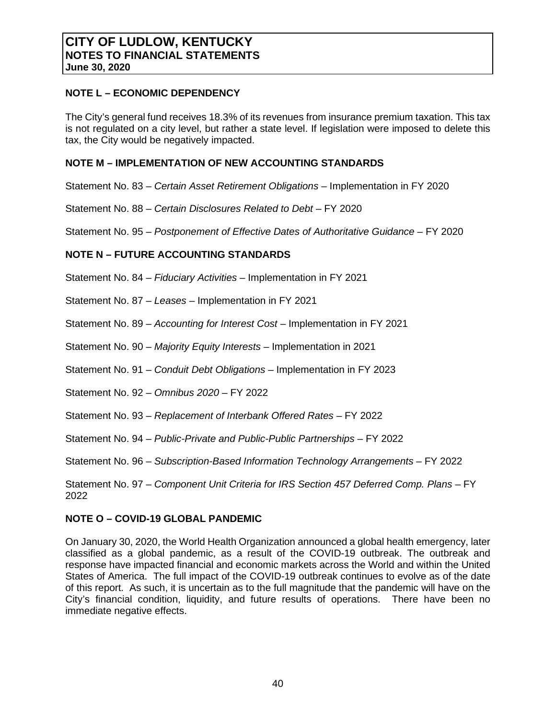# **NOTE L – ECONOMIC DEPENDENCY**

The City's general fund receives 18.3% of its revenues from insurance premium taxation. This tax is not regulated on a city level, but rather a state level. If legislation were imposed to delete this tax, the City would be negatively impacted.

# **NOTE M – IMPLEMENTATION OF NEW ACCOUNTING STANDARDS**

Statement No. 83 – *Certain Asset Retirement Obligations* – Implementation in FY 2020

Statement No. 88 – *Certain Disclosures Related to Debt* – FY 2020

Statement No. 95 – *Postponement of Effective Dates of Authoritative Guidance* – FY 2020

# **NOTE N – FUTURE ACCOUNTING STANDARDS**

Statement No. 84 – *Fiduciary Activities –* Implementation in FY 2021

Statement No. 87 – *Leases –* Implementation in FY 2021

Statement No. 89 – *Accounting for Interest Cost –* Implementation in FY 2021

Statement No. 90 – *Majority Equity Interests* – Implementation in 2021

Statement No. 91 – *Conduit Debt Obligations* – Implementation in FY 2023

Statement No. 92 – *Omnibus 2020* – FY 2022

Statement No. 93 – *Replacement of Interbank Offered Rates* – FY 2022

Statement No. 94 – *Public-Private and Public-Public Partnerships* – FY 2022

Statement No. 96 – *Subscription-Based Information Technology Arrangements* – FY 2022

Statement No. 97 – *Component Unit Criteria for IRS Section 457 Deferred Comp. Plans* – FY 2022

# **NOTE O – COVID-19 GLOBAL PANDEMIC**

On January 30, 2020, the World Health Organization announced a global health emergency, later classified as a global pandemic, as a result of the COVID-19 outbreak. The outbreak and response have impacted financial and economic markets across the World and within the United States of America. The full impact of the COVID-19 outbreak continues to evolve as of the date of this report. As such, it is uncertain as to the full magnitude that the pandemic will have on the City's financial condition, liquidity, and future results of operations. There have been no immediate negative effects.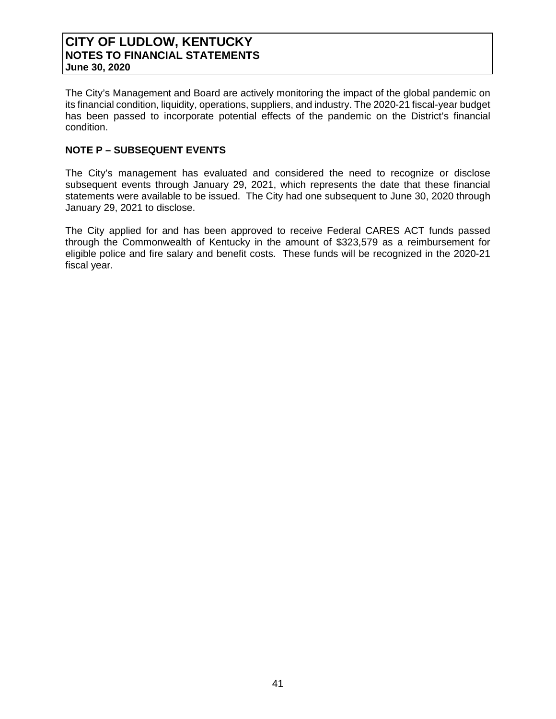The City's Management and Board are actively monitoring the impact of the global pandemic on its financial condition, liquidity, operations, suppliers, and industry. The 2020-21 fiscal-year budget has been passed to incorporate potential effects of the pandemic on the District's financial condition.

# **NOTE P – SUBSEQUENT EVENTS**

The City's management has evaluated and considered the need to recognize or disclose subsequent events through January 29, 2021, which represents the date that these financial statements were available to be issued. The City had one subsequent to June 30, 2020 through January 29, 2021 to disclose.

The City applied for and has been approved to receive Federal CARES ACT funds passed through the Commonwealth of Kentucky in the amount of \$323,579 as a reimbursement for eligible police and fire salary and benefit costs. These funds will be recognized in the 2020-21 fiscal year.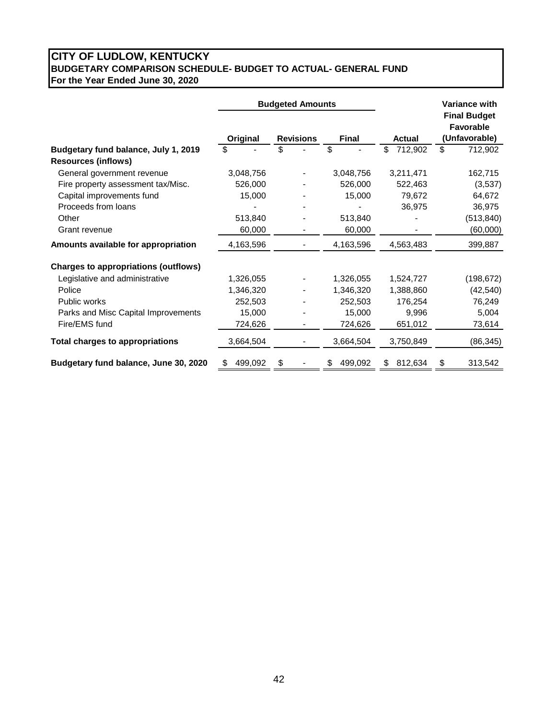# **CITY OF LUDLOW, KENTUCKY BUDGETARY COMPARISON SCHEDULE- BUDGET TO ACTUAL- GENERAL FUND For the Year Ended June 30, 2020**

|                                             |               | <b>Budgeted Amounts</b> |               | <b>Variance with</b><br><b>Final Budget</b> |                                   |
|---------------------------------------------|---------------|-------------------------|---------------|---------------------------------------------|-----------------------------------|
|                                             | Original      | <b>Revisions</b>        | <b>Final</b>  | <b>Actual</b>                               | <b>Favorable</b><br>(Unfavorable) |
| Budgetary fund balance, July 1, 2019        | \$            | \$                      | \$            | \$<br>712,902                               | \$<br>712,902                     |
| <b>Resources (inflows)</b>                  |               |                         |               |                                             |                                   |
| General government revenue                  | 3,048,756     |                         | 3,048,756     | 3,211,471                                   | 162,715                           |
| Fire property assessment tax/Misc.          | 526,000       |                         | 526,000       | 522,463                                     | (3,537)                           |
| Capital improvements fund                   | 15,000        |                         | 15,000        | 79,672                                      | 64,672                            |
| Proceeds from loans                         |               |                         |               | 36,975                                      | 36,975                            |
| Other                                       | 513,840       |                         | 513,840       |                                             | (513, 840)                        |
| Grant revenue                               | 60,000        |                         | 60,000        |                                             | (60,000)                          |
| Amounts available for appropriation         | 4,163,596     |                         | 4,163,596     | 4,563,483                                   | 399,887                           |
| <b>Charges to appropriations (outflows)</b> |               |                         |               |                                             |                                   |
| Legislative and administrative              | 1,326,055     |                         | 1,326,055     | 1,524,727                                   | (198, 672)                        |
| Police                                      | 1,346,320     |                         | 1,346,320     | 1,388,860                                   | (42, 540)                         |
| Public works                                | 252,503       |                         | 252,503       | 176,254                                     | 76,249                            |
| Parks and Misc Capital Improvements         | 15,000        |                         | 15,000        | 9,996                                       | 5,004                             |
| Fire/EMS fund                               | 724,626       |                         | 724,626       | 651,012                                     | 73,614                            |
| <b>Total charges to appropriations</b>      | 3,664,504     |                         | 3,664,504     | 3,750,849                                   | (86, 345)                         |
| Budgetary fund balance, June 30, 2020       | 499,092<br>\$ | \$                      | 499,092<br>\$ | 812,634<br>S                                | 313,542<br>\$                     |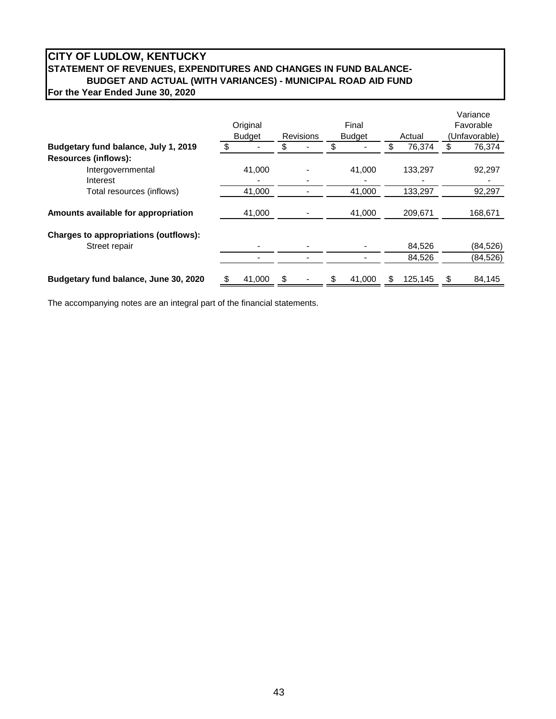# **CITY OF LUDLOW, KENTUCKY STATEMENT OF REVENUES, EXPENDITURES AND CHANGES IN FUND BALANCE-BUDGET AND ACTUAL (WITH VARIANCES) - MUNICIPAL ROAD AID FUND For the Year Ended June 30, 2020**

|                                       |               |          |                                   |  |        |    |               |    | Variance  |
|---------------------------------------|---------------|----------|-----------------------------------|--|--------|----|---------------|----|-----------|
|                                       |               | Original |                                   |  | Final  |    |               |    | Favorable |
|                                       | <b>Budget</b> |          | <b>Revisions</b><br><b>Budget</b> |  | Actual |    | (Unfavorable) |    |           |
| Budgetary fund balance, July 1, 2019  |               |          |                                   |  |        |    | 76,374        | \$ | 76,374    |
| <b>Resources (inflows):</b>           |               |          |                                   |  |        |    |               |    |           |
| Intergovernmental                     |               | 41,000   |                                   |  | 41.000 |    | 133,297       |    | 92,297    |
| Interest                              |               |          |                                   |  |        |    |               |    |           |
| Total resources (inflows)             |               | 41,000   |                                   |  | 41.000 |    | 133.297       |    | 92,297    |
| Amounts available for appropriation   |               | 41,000   |                                   |  | 41,000 |    | 209,671       |    | 168,671   |
| Charges to appropriations (outflows): |               |          |                                   |  |        |    |               |    |           |
| Street repair                         |               |          |                                   |  |        |    | 84,526        |    | (84, 526) |
|                                       |               |          |                                   |  |        |    | 84,526        |    | (84, 526) |
| Budgetary fund balance, June 30, 2020 | \$            | 41.000   | \$                                |  | 41.000 | \$ | 125.145       | \$ | 84,145    |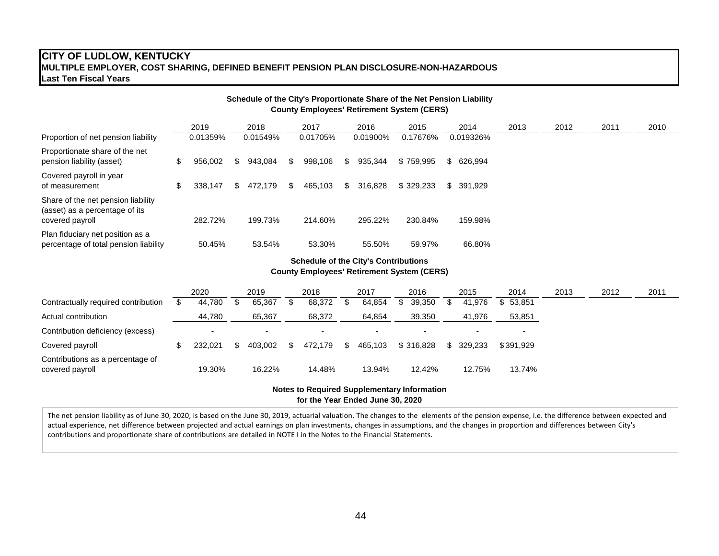#### **CITY OF LUDLOW, KENTUCKY MULTIPLE EMPLOYER, COST SHARING, DEFINED BENEFIT PENSION PLAN DISCLOSURE-NON-HAZARDOUS Last Ten Fiscal Years**

| Schedule of the City's Proportionate Share of the Net Pension Liability<br><b>County Employees' Retirement System (CERS)</b> |    |          |     |          |     |          |     |          |           |  |            |      |      |      |      |
|------------------------------------------------------------------------------------------------------------------------------|----|----------|-----|----------|-----|----------|-----|----------|-----------|--|------------|------|------|------|------|
|                                                                                                                              |    | 2019     |     | 2018     |     | 2017     |     | 2016     | 2015      |  | 2014       | 2013 | 2012 | 2011 | 2010 |
| Proportion of net pension liability                                                                                          |    | 0.01359% |     | 0.01549% |     | 0.01705% |     | 0.01900% | 0.17676%  |  | 0.019326%  |      |      |      |      |
| Proportionate share of the net<br>pension liability (asset)                                                                  | \$ | 956.002  | S.  | 943.084  | \$. | 998.106  | SS. | 935.344  | \$759.995 |  | \$ 626,994 |      |      |      |      |
| Covered payroll in year<br>of measurement                                                                                    | \$ | 338.147  | SS. | 472.179  | \$. | 465.103  | SS. | 316.828  | \$329.233 |  | \$ 391.929 |      |      |      |      |
| Share of the net pension liability<br>(asset) as a percentage of its<br>covered payroll                                      |    | 282.72%  |     | 199.73%  |     | 214.60%  |     | 295.22%  | 230.84%   |  | 159.98%    |      |      |      |      |
| Plan fiduciary net position as a<br>percentage of total pension liability                                                    |    | 50.45%   |     | 53.54%   |     | 53.30%   |     | 55.50%   | 59.97%    |  | 66.80%     |      |      |      |      |

#### **Schedule of the City's Contributions County Employees' Retirement System (CERS)**

|                                                     | 2020    | 2019                     |     | 2018    |     | 2017    |  | 2016      |  | 2015    | 2014                     | 2013 | 2012 | 2011 |
|-----------------------------------------------------|---------|--------------------------|-----|---------|-----|---------|--|-----------|--|---------|--------------------------|------|------|------|
| Contractually required contribution                 | 44.780  | 65.367                   |     | 68,372  |     | 64.854  |  | 39,350    |  | 41.976  | \$53.851                 |      |      |      |
| Actual contribution                                 | 44,780  | 65,367                   |     | 68,372  |     | 64,854  |  | 39,350    |  | 41,976  | 53,851                   |      |      |      |
| Contribution deficiency (excess)                    |         | $\overline{\phantom{0}}$ |     |         |     |         |  |           |  |         | $\overline{\phantom{0}}$ |      |      |      |
| Covered payroll                                     | 232.021 | 403.002                  | \$. | 472.179 | S S | 465.103 |  | \$316.828 |  | 329.233 | \$391.929                |      |      |      |
| Contributions as a percentage of<br>covered payroll | 19.30%  | 16.22%                   |     | 14.48%  |     | 13.94%  |  | 12.42%    |  | 12.75%  | 13.74%                   |      |      |      |

#### **for the Year Ended June 30, 2020 Notes to Required Supplementary Information**

The net pension liability as of June 30, 2020, is based on the June 30, 2019, actuarial valuation. The changes to the elements of the pension expense, i.e. the difference between expected and actual experience, net difference between projected and actual earnings on plan investments, changes in assumptions, and the changes in proportion and differences between City's contributions and proportionate share of contributions are detailed in NOTE I in the Notes to the Financial Statements.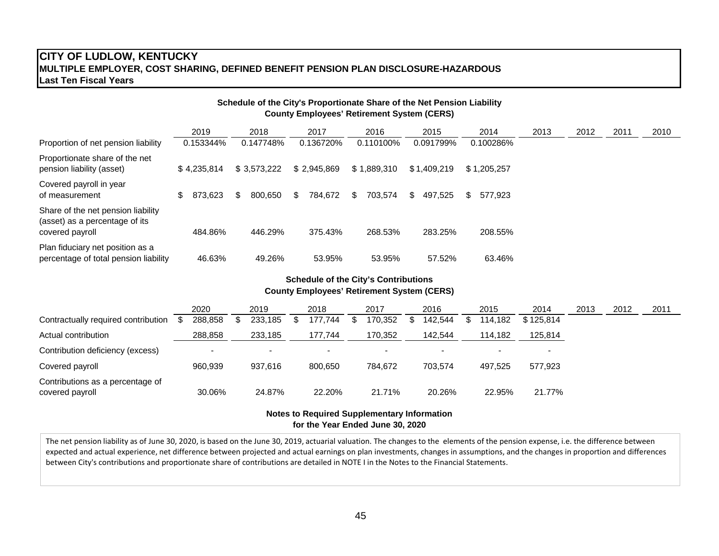# **CITY OF LUDLOW, KENTUCKY MULTIPLE EMPLOYER, COST SHARING, DEFINED BENEFIT PENSION PLAN DISCLOSURE-HAZARDOUS Last Ten Fiscal Years**

| Schedule of the City's Proportionate Share of the Net Pension Liability<br><b>County Employees' Retirement System (CERS)</b> |                |               |               |                |               |                |      |      |      |      |  |  |  |
|------------------------------------------------------------------------------------------------------------------------------|----------------|---------------|---------------|----------------|---------------|----------------|------|------|------|------|--|--|--|
|                                                                                                                              | 2019           | 2018          | 2017          | 2016           | 2015          | 2014           | 2013 | 2012 | 2011 | 2010 |  |  |  |
| Proportion of net pension liability                                                                                          | 0.153344%      | 0.147748%     | 0.136720%     | 0.110100%      | 0.091799%     | 0.100286%      |      |      |      |      |  |  |  |
| Proportionate share of the net<br>pension liability (asset)                                                                  | \$4.235.814    | \$3,573,222   | \$2.945.869   | \$1,889,310    | \$1.409.219   | \$1,205,257    |      |      |      |      |  |  |  |
| Covered payroll in year<br>of measurement                                                                                    | 873.623<br>\$. | 800,650<br>S. | 784,672<br>S. | 703,574<br>\$. | 497.525<br>S. | \$.<br>577.923 |      |      |      |      |  |  |  |
| Share of the net pension liability<br>(asset) as a percentage of its<br>covered payroll                                      | 484.86%        | 446.29%       | 375.43%       | 268.53%        | 283.25%       | 208.55%        |      |      |      |      |  |  |  |
| Plan fiduciary net position as a<br>percentage of total pension liability                                                    | 46.63%         | 49.26%        | 53.95%        | 53.95%         | 57.52%        | 63.46%         |      |      |      |      |  |  |  |

#### **Schedule of the City's Contributions County Employees' Retirement System (CERS)**

|                                                     | 2020                     |     | 2019           |  | 2018    |  | 2017           |  | 2016    |  | 2015    | 2014                     | 2013 | 2012 | 2011 |
|-----------------------------------------------------|--------------------------|-----|----------------|--|---------|--|----------------|--|---------|--|---------|--------------------------|------|------|------|
| Contractually required contribution                 | 288.858                  | \$. | 233,185        |  | 177.744 |  | 170,352        |  | 142.544 |  | 114.182 | \$125.814                |      |      |      |
| Actual contribution                                 | 288,858                  |     | 233,185        |  | 177,744 |  | 170,352        |  | 142,544 |  | 114,182 | 125,814                  |      |      |      |
| Contribution deficiency (excess)                    | $\overline{\phantom{0}}$ |     | $\blacksquare$ |  |         |  | $\blacksquare$ |  |         |  |         | $\overline{\phantom{0}}$ |      |      |      |
| Covered payroll                                     | 960,939                  |     | 937.616        |  | 800.650 |  | 784.672        |  | 703.574 |  | 497.525 | 577.923                  |      |      |      |
| Contributions as a percentage of<br>covered payroll | 30.06%                   |     | 24.87%         |  | 22.20%  |  | 21.71%         |  | 20.26%  |  | 22.95%  | 21.77%                   |      |      |      |

#### **for the Year Ended June 30, 2020 Notes to Required Supplementary Information**

The net pension liability as of June 30, 2020, is based on the June 30, 2019, actuarial valuation. The changes to the elements of the pension expense, i.e. the difference between expected and actual experience, net difference between projected and actual earnings on plan investments, changes in assumptions, and the changes in proportion and differences between City's contributions and proportionate share of contributions are detailed in NOTE I in the Notes to the Financial Statements.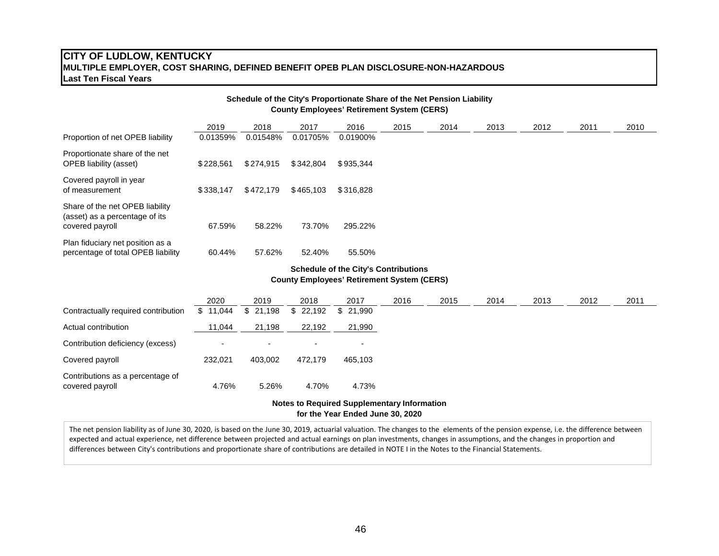#### **CITY OF LUDLOW, KENTUCKY MULTIPLE EMPLOYER, COST SHARING, DEFINED BENEFIT OPEB PLAN DISCLOSURE-NON-HAZARDOUS Last Ten Fiscal Years**

|                                                                                      |                       |                     |                       | Schedule of the City's Proportionate Share of the Net Pension Liability<br><b>County Employees' Retirement System (CERS)</b> |      |      |      |      |      |      |
|--------------------------------------------------------------------------------------|-----------------------|---------------------|-----------------------|------------------------------------------------------------------------------------------------------------------------------|------|------|------|------|------|------|
|                                                                                      | 2019                  | 2018                | 2017                  | 2016                                                                                                                         | 2015 | 2014 | 2013 | 2012 | 2011 | 2010 |
| Proportion of net OPEB liability                                                     | 0.01359%              | 0.01548%            | 0.01705%              | 0.01900%                                                                                                                     |      |      |      |      |      |      |
| Proportionate share of the net<br><b>OPEB</b> liability (asset)                      | \$228,561             | \$274,915           | \$342,804             | \$935,344                                                                                                                    |      |      |      |      |      |      |
| Covered payroll in year<br>of measurement                                            | \$338,147             | \$472,179           | \$465,103             | \$316,828                                                                                                                    |      |      |      |      |      |      |
| Share of the net OPEB liability<br>(asset) as a percentage of its<br>covered payroll | 67.59%                | 58.22%              | 73.70%                | 295.22%                                                                                                                      |      |      |      |      |      |      |
| Plan fiduciary net position as a<br>percentage of total OPEB liability               | 60.44%                | 57.62%              | 52.40%                | 55.50%                                                                                                                       |      |      |      |      |      |      |
|                                                                                      |                       |                     |                       | <b>Schedule of the City's Contributions</b>                                                                                  |      |      |      |      |      |      |
|                                                                                      |                       |                     |                       | <b>County Employees' Retirement System (CERS)</b>                                                                            |      |      |      |      |      |      |
| Contractually required contribution                                                  | 2020<br>¢<br>11 $0AA$ | 2019<br>¢<br>21 108 | 2018<br>ፍ.<br>-22.102 | 2017<br>¢<br>21.000                                                                                                          | 2016 | 2015 | 2014 | 2013 | 2012 | 2011 |

|                                                     | $-0-0$    | ---      | ---      | $-0.1$    | --- | $-0.0$ | --- | $-0.0$ | $-0.1$ | $-\circ\cdot\cdot$ |
|-----------------------------------------------------|-----------|----------|----------|-----------|-----|--------|-----|--------|--------|--------------------|
| Contractually required contribution                 | \$ 11,044 | \$21,198 | \$22,192 | \$ 21,990 |     |        |     |        |        |                    |
| Actual contribution                                 | 11,044    | 21,198   | 22,192   | 21,990    |     |        |     |        |        |                    |
| Contribution deficiency (excess)                    |           |          |          |           |     |        |     |        |        |                    |
| Covered payroll                                     | 232,021   | 403,002  | 472.179  | 465,103   |     |        |     |        |        |                    |
| Contributions as a percentage of<br>covered payroll | 4.76%     | 5.26%    | 4.70%    | 4.73%     |     |        |     |        |        |                    |

**for the Year Ended June 30, 2020 Notes to Required Supplementary Information**

The net pension liability as of June 30, 2020, is based on the June 30, 2019, actuarial valuation. The changes to the elements of the pension expense, i.e. the difference between expected and actual experience, net difference between projected and actual earnings on plan investments, changes in assumptions, and the changes in proportion and differences between City's contributions and proportionate share of contributions are detailed in NOTE I in the Notes to the Financial Statements.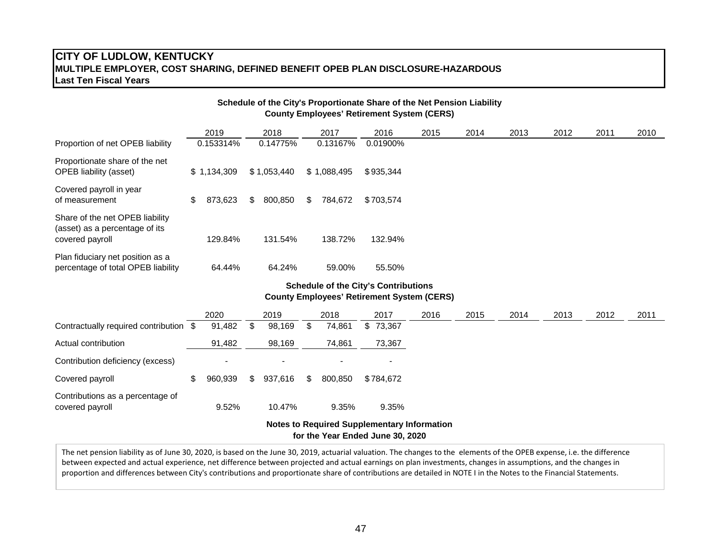# **CITY OF LUDLOW, KENTUCKY MULTIPLE EMPLOYER, COST SHARING, DEFINED BENEFIT OPEB PLAN DISCLOSURE-HAZARDOUS Last Ten Fiscal Years**

| Schedule of the City's Proportionate Share of the Net Pension Liability<br><b>County Employees' Retirement System (CERS)</b> |                |               |               |           |      |      |      |      |      |      |  |  |  |
|------------------------------------------------------------------------------------------------------------------------------|----------------|---------------|---------------|-----------|------|------|------|------|------|------|--|--|--|
|                                                                                                                              | 2019           | 2018          | 2017          | 2016      | 2015 | 2014 | 2013 | 2012 | 2011 | 2010 |  |  |  |
| Proportion of net OPEB liability                                                                                             | 0.153314%      | 0.14775%      | 0.13167%      | 0.01900%  |      |      |      |      |      |      |  |  |  |
| Proportionate share of the net<br><b>OPEB</b> liability (asset)                                                              | \$1,134,309    | \$1,053,440   | \$1,088,495   | \$935.344 |      |      |      |      |      |      |  |  |  |
| Covered payroll in year<br>of measurement                                                                                    | 873,623<br>\$. | \$<br>800,850 | \$<br>784,672 | \$703.574 |      |      |      |      |      |      |  |  |  |
| Share of the net OPEB liability<br>(asset) as a percentage of its<br>covered payroll                                         | 129.84%        | 131.54%       | 138.72%       | 132.94%   |      |      |      |      |      |      |  |  |  |
| Plan fiduciary net position as a<br>percentage of total OPEB liability                                                       | 64.44%         | 64.24%        | 59.00%        | 55.50%    |      |      |      |      |      |      |  |  |  |

#### **Schedule of the City's Contributions County Employees' Retirement System (CERS)**

|                                                     |                                                    | 2020    |     | 2019    |    | 2018    | 2017      | 2016 | 2015 | 2014 | 2013 | 2012 | 2011 |
|-----------------------------------------------------|----------------------------------------------------|---------|-----|---------|----|---------|-----------|------|------|------|------|------|------|
| Contractually required contribution \$              |                                                    | 91,482  | S.  | 98,169  |    | 74,861  | \$73,367  |      |      |      |      |      |      |
| Actual contribution                                 |                                                    | 91,482  |     | 98,169  |    | 74,861  | 73,367    |      |      |      |      |      |      |
| Contribution deficiency (excess)                    |                                                    |         |     |         |    |         |           |      |      |      |      |      |      |
| Covered payroll                                     |                                                    | 960.939 | \$. | 937.616 | \$ | 800.850 | \$784.672 |      |      |      |      |      |      |
| Contributions as a percentage of<br>covered payroll |                                                    | 9.52%   |     | 10.47%  |    | 9.35%   | 9.35%     |      |      |      |      |      |      |
|                                                     | <b>Notes to Required Supplementary Information</b> |         |     |         |    |         |           |      |      |      |      |      |      |

**for the Year Ended June 30, 2020**

The net pension liability as of June 30, 2020, is based on the June 30, 2019, actuarial valuation. The changes to the elements of the OPEB expense, i.e. the difference between expected and actual experience, net difference between projected and actual earnings on plan investments, changes in assumptions, and the changes in proportion and differences between City's contributions and proportionate share of contributions are detailed in NOTE I in the Notes to the Financial Statements.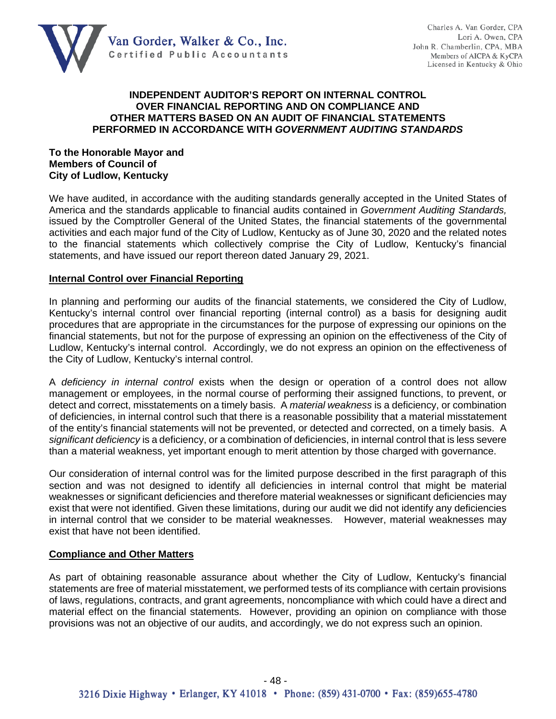

#### **INDEPENDENT AUDITOR'S REPORT ON INTERNAL CONTROL OVER FINANCIAL REPORTING AND ON COMPLIANCE AND OTHER MATTERS BASED ON AN AUDIT OF FINANCIAL STATEMENTS PERFORMED IN ACCORDANCE WITH** *GOVERNMENT AUDITING STANDARDS*

#### **To the Honorable Mayor and Members of Council of City of Ludlow, Kentucky**

We have audited, in accordance with the auditing standards generally accepted in the United States of America and the standards applicable to financial audits contained in *Government Auditing Standards,* issued by the Comptroller General of the United States, the financial statements of the governmental activities and each major fund of the City of Ludlow, Kentucky as of June 30, 2020 and the related notes to the financial statements which collectively comprise the City of Ludlow, Kentucky's financial statements, and have issued our report thereon dated January 29, 2021.

#### **Internal Control over Financial Reporting**

In planning and performing our audits of the financial statements, we considered the City of Ludlow, Kentucky's internal control over financial reporting (internal control) as a basis for designing audit procedures that are appropriate in the circumstances for the purpose of expressing our opinions on the financial statements, but not for the purpose of expressing an opinion on the effectiveness of the City of Ludlow, Kentucky's internal control. Accordingly, we do not express an opinion on the effectiveness of the City of Ludlow, Kentucky's internal control.

A *deficiency in internal control* exists when the design or operation of a control does not allow management or employees, in the normal course of performing their assigned functions, to prevent, or detect and correct, misstatements on a timely basis. A *material weakness* is a deficiency, or combination of deficiencies, in internal control such that there is a reasonable possibility that a material misstatement of the entity's financial statements will not be prevented, or detected and corrected, on a timely basis. A *significant deficiency* is a deficiency, or a combination of deficiencies, in internal control that is less severe than a material weakness, yet important enough to merit attention by those charged with governance.

Our consideration of internal control was for the limited purpose described in the first paragraph of this section and was not designed to identify all deficiencies in internal control that might be material weaknesses or significant deficiencies and therefore material weaknesses or significant deficiencies may exist that were not identified. Given these limitations, during our audit we did not identify any deficiencies in internal control that we consider to be material weaknesses. However, material weaknesses may exist that have not been identified.

# **Compliance and Other Matters**

As part of obtaining reasonable assurance about whether the City of Ludlow, Kentucky's financial statements are free of material misstatement, we performed tests of its compliance with certain provisions of laws, regulations, contracts, and grant agreements, noncompliance with which could have a direct and material effect on the financial statements. However, providing an opinion on compliance with those provisions was not an objective of our audits, and accordingly, we do not express such an opinion.